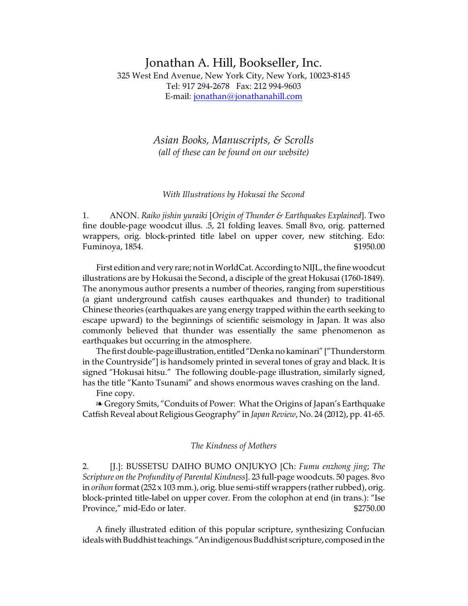# Jonathan A. Hill, Bookseller, Inc. 325 West End Avenue, New York City, New York, 10023-8145 Tel: 917 294-2678 Fax: 212 994-9603 E-mail: [jonathan@jonathanahill.com](mailto:jonathan@jonathanahill.com)

*Asian Books, Manuscripts, & Scrolls (all of these can be found on our website)*

## *With Illustrations by Hokusai the Second*

1. ANON. *Raiko jishin yuraiki* [*Origin of Thunder & Earthquakes Explained*]. Two fine double-page woodcut illus. .5, 21 folding leaves. Small 8vo, orig. patterned wrappers, orig. block-printed title label on upper cover, new stitching. Edo: Fuminoya, 1854. \$1950.00

First edition and very rare; not in WorldCat. According to NIJL, the fine woodcut illustrations are by Hokusai the Second, a disciple of the great Hokusai (1760-1849). The anonymous author presents a number of theories, ranging from superstitious (a giant underground catfish causes earthquakes and thunder) to traditional Chinese theories (earthquakes are yang energy trapped within the earth seeking to escape upward) to the beginnings of scientific seismology in Japan. It was also commonly believed that thunder was essentially the same phenomenon as earthquakes but occurring in the atmosphere.

The first double-page illustration, entitled"Denka no kaminari" ["Thunderstorm in the Countryside"] is handsomely printed in several tones of gray and black. It is signed "Hokusai hitsu." The following double-page illustration, similarly signed, has the title "Kanto Tsunami" and shows enormous waves crashing on the land. Fine copy.

**Example 3** Gregory Smits, "Conduits of Power: What the Origins of Japan's Earthquake Catfish Reveal about Religious Geography" in *Japan Review*, No. 24 (2012), pp. 41-65.

## *The Kindness of Mothers*

2. [J.]: BUSSETSU DAIHO BUMO ONJUKYO [Ch: *Fumu enzhong jing*; *The Scripture on the Profundity of Parental Kindness*]. 23 full-page woodcuts. 50 pages. 8vo in *orihon* format (252 x 103 mm.), orig. blue semi-stiff wrappers (rather rubbed), orig. block-printed title-label on upper cover. From the colophon at end (in trans.): "Ise Province," mid-Edo or later.  $$2750.00$ 

A finely illustrated edition of this popular scripture, synthesizing Confucian ideals with Buddhist teachings. "An indigenous Buddhist scripture, composed in the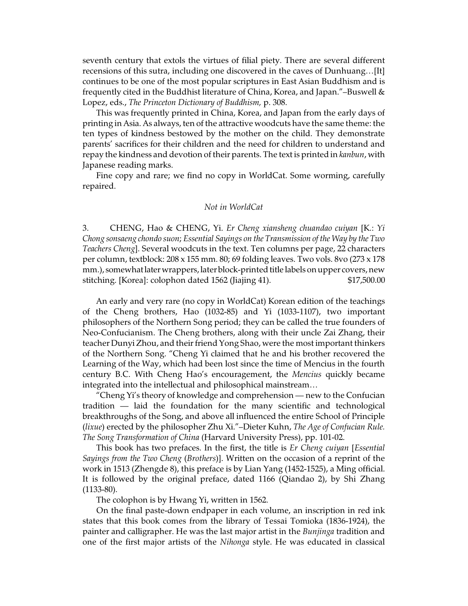seventh century that extols the virtues of filial piety. There are several different recensions of this sutra, including one discovered in the caves of Dunhuang…[It] continues to be one of the most popular scriptures in East Asian Buddhism and is frequently cited in the Buddhist literature of China, Korea, and Japan."–Buswell & Lopez, eds., *The Princeton Dictionary of Buddhism,* p. 308.

This was frequently printed in China, Korea, and Japan from the early days of printing in Asia. As always, ten of the attractive woodcuts have the same theme: the ten types of kindness bestowed by the mother on the child. They demonstrate parents' sacrifices for their children and the need for children to understand and repay the kindness and devotion of their parents. The text is printed in *kanbun*, with Japanese reading marks.

Fine copy and rare; we find no copy in WorldCat. Some worming, carefully repaired.

## *Not in WorldCat*

3. CHENG, Hao & CHENG, Yi. *Er Cheng xiansheng chuandao cuiyan* [K.: *Yi Chong sonsaeng chondo suon*; *Essential Sayings on the Transmission of the Way by the Two Teachers Cheng*]. Several woodcuts in the text. Ten columns per page, 22 characters per column, textblock: 208 x 155 mm. 80; 69 folding leaves. Two vols. 8vo (273 x 178 mm.), somewhat later wrappers, later block-printed title labels on upper covers, new stitching. [Korea]: colophon dated 1562 (Jiajing 41). \$17,500.00

An early and very rare (no copy in WorldCat) Korean edition of the teachings of the Cheng brothers, Hao (1032-85) and Yi (1033-1107), two important philosophers of the Northern Song period; they can be called the true founders of Neo-Confucianism. The Cheng brothers, along with their uncle Zai Zhang, their teacher Dunyi Zhou, and their friend Yong Shao, were the most important thinkers of the Northern Song. "Cheng Yi claimed that he and his brother recovered the Learning of the Way, which had been lost since the time of Mencius in the fourth century B.C. With Cheng Hao's encouragement, the *Mencius* quickly became integrated into the intellectual and philosophical mainstream…

"Cheng Yi's theory of knowledge and comprehension — new to the Confucian tradition — laid the foundation for the many scientific and technological breakthroughs of the Song, and above all influenced the entire School of Principle (*lixue*) erected by the philosopher Zhu Xi."–Dieter Kuhn, *The Age of Confucian Rule. The Song Transformation of China* (Harvard University Press), pp. 101-02.

This book has two prefaces. In the first, the title is *Er Cheng cuiyan* [*Essential Sayings from the Two Cheng* (*Brothers*)]. Written on the occasion of a reprint of the work in 1513 (Zhengde 8), this preface is by Lian Yang (1452-1525), a Ming official. It is followed by the original preface, dated 1166 (Qiandao 2), by Shi Zhang (1133-80).

The colophon is by Hwang Yi, written in 1562.

On the final paste-down endpaper in each volume, an inscription in red ink states that this book comes from the library of Tessai Tomioka (1836-1924), the painter and calligrapher. He was the last major artist in the *Bunjinga* tradition and one of the first major artists of the *Nihonga* style. He was educated in classical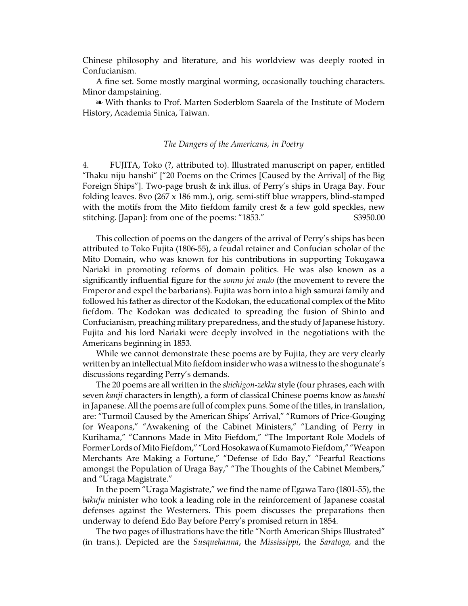Chinese philosophy and literature, and his worldview was deeply rooted in Confucianism.

A fine set. Some mostly marginal worming, occasionally touching characters. Minor dampstaining.

É With thanks to Prof. Marten Soderblom Saarela of the Institute of Modern History, Academia Sinica, Taiwan.

## *The Dangers of the Americans, in Poetry*

4. FUJITA, Toko (?, attributed to). Illustrated manuscript on paper, entitled "Ihaku niju hanshi" ["20 Poems on the Crimes [Caused by the Arrival] of the Big Foreign Ships"]. Two-page brush & ink illus. of Perry's ships in Uraga Bay. Four folding leaves. 8vo (267 x 186 mm.), orig. semi-stiff blue wrappers, blind-stamped with the motifs from the Mito fiefdom family crest  $\&$  a few gold speckles, new stitching. [Japan]: from one of the poems: "1853." \$3950.00

This collection of poems on the dangers of the arrival of Perry's ships has been attributed to Toko Fujita (1806-55), a feudal retainer and Confucian scholar of the Mito Domain, who was known for his contributions in supporting Tokugawa Nariaki in promoting reforms of domain politics. He was also known as a significantly influential figure for the *sonno joi undo* (the movement to revere the Emperor and expel the barbarians). Fujita was born into a high samurai family and followed his father as director of the Kodokan, the educational complex of the Mito fiefdom. The Kodokan was dedicated to spreading the fusion of Shinto and Confucianism, preaching military preparedness, and the study of Japanese history. Fujita and his lord Nariaki were deeply involved in the negotiations with the Americans beginning in 1853.

While we cannot demonstrate these poems are by Fujita, they are very clearly written by an intellectual Mito fiefdom insider who was a witness to the shogunate's discussions regarding Perry's demands.

The 20 poems are all written in the *shichigon-zekku* style (four phrases, each with seven *kanji* characters in length), a form of classical Chinese poems know as *kanshi* in Japanese.All the poems are full of complex puns. Some of the titles, in translation, are: "Turmoil Caused by the American Ships' Arrival," "Rumors of Price-Gouging for Weapons," "Awakening of the Cabinet Ministers," "Landing of Perry in Kurihama," "Cannons Made in Mito Fiefdom," "The Important Role Models of Former Lords of Mito Fiefdom," "Lord Hosokawa of Kumamoto Fiefdom," "Weapon Merchants Are Making a Fortune," "Defense of Edo Bay," "Fearful Reactions amongst the Population of Uraga Bay," "The Thoughts of the Cabinet Members," and "Uraga Magistrate."

In the poem "Uraga Magistrate," we find the name of Egawa Taro (1801-55), the *bakufu* minister who took a leading role in the reinforcement of Japanese coastal defenses against the Westerners. This poem discusses the preparations then underway to defend Edo Bay before Perry's promised return in 1854.

The two pages of illustrations have the title "North American Ships Illustrated" (in trans.). Depicted are the *Susquehanna*, the *Mississippi*, the *Saratoga,* and the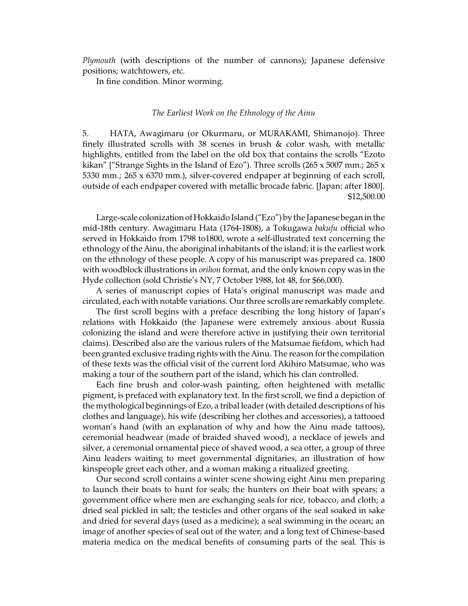*Plymouth* (with descriptions of the number of cannons); Japanese defensive positions; watchtowers, etc.

In fine condition. Minor worming.

#### *The Earliest Work on the Ethnology of the Ainu*

5. HATA, Awagimaru (or Okurmaru, or MURAKAMI, Shimanojo). Three finely illustrated scrolls with 38 scenes in brush & color wash, with metallic highlights, entitled from the label on the old box that contains the scrolls "Ezoto kikan" ["Strange Sights in the Island of Ezo"). Three scrolls (265 x 5007 mm.; 265 x 5330 mm.; 265 x 6370 mm.), silver-covered endpaper at beginning of each scroll, outside of each endpaper covered with metallic brocade fabric. [Japan: after 1800]. \$12,500.00

Large-scale colonization of Hokkaido Island ("Ezo") by the Japanese began in the mid-18th century. Awagimaru Hata (1764-1808), a Tokugawa *bakufu* official who served in Hokkaido from 1798 to1800, wrote a self-illustrated text concerning the ethnology of the Ainu, the aboriginal inhabitants of the island; it is the earliest work on the ethnology of these people. A copy of his manuscript was prepared ca. 1800 with woodblock illustrations in *orihon* format, and the only known copy was in the Hyde collection (sold Christie's NY, 7 October 1988, lot 48, for \$66,000).

A series of manuscript copies of Hata's original manuscript was made and circulated, each with notable variations. Our three scrolls are remarkably complete.

The first scroll begins with a preface describing the long history of Japan's relations with Hokkaido (the Japanese were extremely anxious about Russia colonizing the island and were therefore active in justifying their own territorial claims). Described also are the various rulers of the Matsumae fiefdom, which had been granted exclusive trading rights with the Ainu. The reason for the compilation of these texts was the official visit of the current lord Akihiro Matsumae, who was making a tour of the southern part of the island, which his clan controlled.

Each fine brush and color-wash painting, often heightened with metallic pigment, is prefaced with explanatory text. In the first scroll, we find a depiction of the mythological beginnings of Ezo, a tribal leader (with detailed descriptions of his clothes and language), his wife (describing her clothes and accessories), a tattooed woman's hand (with an explanation of why and how the Ainu made tattoos), ceremonial headwear (made of braided shaved wood), a necklace of jewels and silver, a ceremonial ornamental piece of shaved wood, a sea otter, a group of three Ainu leaders waiting to meet governmental dignitaries, an illustration of how kinspeople greet each other, and a woman making a ritualized greeting.

Our second scroll contains a winter scene showing eight Ainu men preparing to launch their boats to hunt for seals; the hunters on their boat with spears; a government office where men are exchanging seals for rice, tobacco, and cloth; a dried seal pickled in salt; the testicles and other organs of the seal soaked in sake and dried for several days (used as a medicine); a seal swimming in the ocean; an image of another species of seal out of the water; and a long text of Chinese-based materia medica on the medical benefits of consuming parts of the seal. This is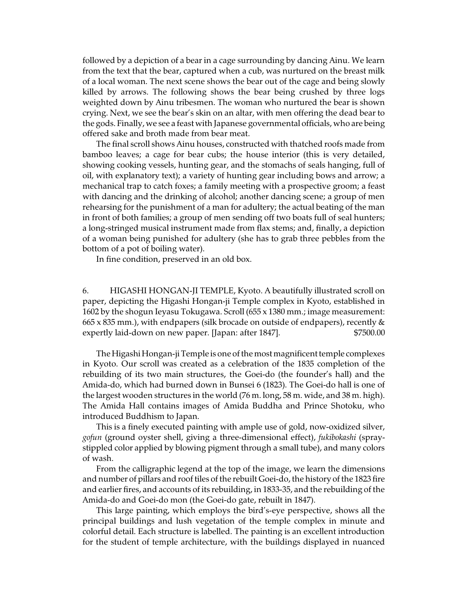followed by a depiction of a bear in a cage surrounding by dancing Ainu. We learn from the text that the bear, captured when a cub, was nurtured on the breast milk of a local woman. The next scene shows the bear out of the cage and being slowly killed by arrows. The following shows the bear being crushed by three logs weighted down by Ainu tribesmen. The woman who nurtured the bear is shown crying. Next, we see the bear's skin on an altar, with men offering the dead bear to the gods. Finally, we see a feast with Japanese governmental officials, who are being offered sake and broth made from bear meat.

The final scroll shows Ainu houses, constructed with thatched roofs made from bamboo leaves; a cage for bear cubs; the house interior (this is very detailed, showing cooking vessels, hunting gear, and the stomachs of seals hanging, full of oil, with explanatory text); a variety of hunting gear including bows and arrow; a mechanical trap to catch foxes; a family meeting with a prospective groom; a feast with dancing and the drinking of alcohol; another dancing scene; a group of men rehearsing for the punishment of a man for adultery; the actual beating of the man in front of both families; a group of men sending off two boats full of seal hunters; a long-stringed musical instrument made from flax stems; and, finally, a depiction of a woman being punished for adultery (she has to grab three pebbles from the bottom of a pot of boiling water).

In fine condition, preserved in an old box.

6. HIGASHI HONGAN-JI TEMPLE, Kyoto. A beautifully illustrated scroll on paper, depicting the Higashi Hongan-ji Temple complex in Kyoto, established in 1602 by the shogun Ieyasu Tokugawa. Scroll (655 x 1380 mm.; image measurement: 665 x 835 mm.), with endpapers (silk brocade on outside of endpapers), recently  $\&$ expertly laid-down on new paper. [Japan: after 1847]. \$7500.00

The Higashi Hongan-ji Temple is one of the most magnificent temple complexes in Kyoto. Our scroll was created as a celebration of the 1835 completion of the rebuilding of its two main structures, the Goei-do (the founder's hall) and the Amida-do, which had burned down in Bunsei 6 (1823). The Goei-do hall is one of the largest wooden structures in the world (76 m. long, 58 m. wide, and 38 m. high). The Amida Hall contains images of Amida Buddha and Prince Shotoku, who introduced Buddhism to Japan.

This is a finely executed painting with ample use of gold, now-oxidized silver, *gofun* (ground oyster shell, giving a three-dimensional effect), *fukibokashi* (spraystippled color applied by blowing pigment through a small tube), and many colors of wash.

From the calligraphic legend at the top of the image, we learn the dimensions and number of pillars and roof tiles of the rebuilt Goei-do, the history of the 1823 fire and earlier fires, and accounts of its rebuilding, in 1833-35, and the rebuilding of the Amida-do and Goei-do mon (the Goei-do gate, rebuilt in 1847).

This large painting, which employs the bird's-eye perspective, shows all the principal buildings and lush vegetation of the temple complex in minute and colorful detail. Each structure is labelled. The painting is an excellent introduction for the student of temple architecture, with the buildings displayed in nuanced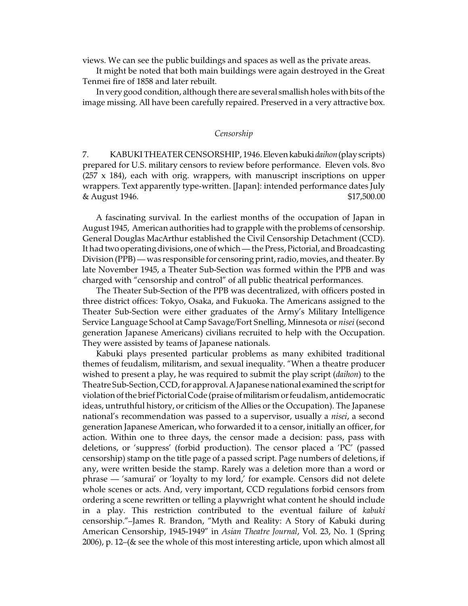views. We can see the public buildings and spaces as well as the private areas.

It might be noted that both main buildings were again destroyed in the Great Tenmei fire of 1858 and later rebuilt.

In very good condition, although there are several smallish holes with bits of the image missing. All have been carefully repaired. Preserved in a very attractive box.

## *Censorship*

7. KABUKI THEATER CENSORSHIP, 1946.Eleven kabuki *daihon*(play scripts) prepared for U.S. military censors to review before performance. Eleven vols. 8vo  $(257 \times 184)$ , each with orig. wrappers, with manuscript inscriptions on upper wrappers. Text apparently type-written. [Japan]: intended performance dates July & August 1946. \$17,500.00

A fascinating survival. In the earliest months of the occupation of Japan in August 1945, American authorities had to grapple with the problems of censorship. General Douglas MacArthur established the Civil Censorship Detachment (CCD). It had two operating divisions, one of which — the Press, Pictorial, and Broadcasting Division (PPB) — was responsible for censoring print, radio, movies, and theater. By late November 1945, a Theater Sub-Section was formed within the PPB and was charged with "censorship and control" of all public theatrical performances.

The Theater Sub-Section of the PPB was decentralized, with officers posted in three district offices: Tokyo, Osaka, and Fukuoka. The Americans assigned to the Theater Sub-Section were either graduates of the Army's Military Intelligence Service Language School at Camp Savage/Fort Snelling, Minnesota or *nisei* (second generation Japanese Americans) civilians recruited to help with the Occupation. They were assisted by teams of Japanese nationals.

Kabuki plays presented particular problems as many exhibited traditional themes of feudalism, militarism, and sexual inequality. "When a theatre producer wished to present a play, he was required to submit the play script (*daihon*) to the Theatre Sub-Section, CCD, for approval. A Japanese national examined the script for violation of the brief Pictorial Code (praise of militarism or feudalism, antidemocratic ideas, untruthful history, or criticism of the Allies or the Occupation). The Japanese national's recommendation was passed to a supervisor, usually a *nisei*, a second generation Japanese American, who forwarded it to a censor, initially an officer, for action. Within one to three days, the censor made a decision: pass, pass with deletions, or 'suppress' (forbid production). The censor placed a 'PC' (passed censorship) stamp on the title page of a passed script. Page numbers of deletions, if any, were written beside the stamp. Rarely was a deletion more than a word or phrase — 'samurai' or 'loyalty to my lord,' for example. Censors did not delete whole scenes or acts. And, very important, CCD regulations forbid censors from ordering a scene rewritten or telling a playwright what content he should include in a play. This restriction contributed to the eventual failure of *kabuki* censorship."–James R. Brandon, "Myth and Reality: A Story of Kabuki during American Censorship, 1945-1949" in *Asian Theatre Journal*, Vol. 23, No. 1 (Spring 2006), p. 12–(& see the whole of this most interesting article, upon which almost all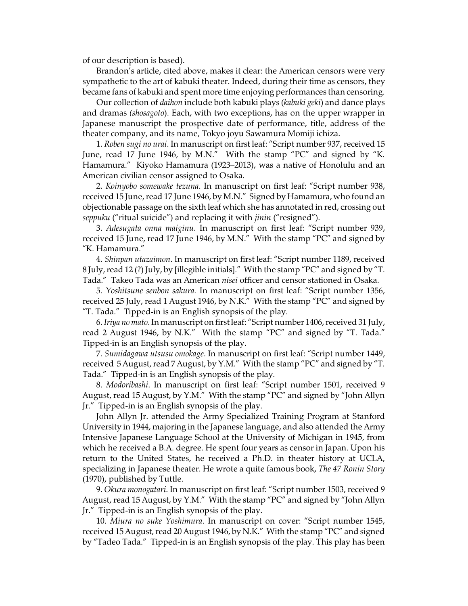of our description is based).

Brandon's article, cited above, makes it clear: the American censors were very sympathetic to the art of kabuki theater. Indeed, during their time as censors, they became fans of kabuki and spent more time enjoying performances than censoring.

Our collection of *daihon* include both kabuki plays (*kabuki geki*) and dance plays and dramas *(shosagoto*). Each, with two exceptions, has on the upper wrapper in Japanese manuscript the prospective date of performance, title, address of the theater company, and its name, Tokyo joyu Sawamura Momiji ichiza.

1. *Roben sugi no urai*. In manuscript on first leaf: "Script number 937, received 15 June, read 17 June 1946, by M.N." With the stamp "PC" and signed by "K. Hamamura." Kiyoko Hamamura (1923–2013), was a native of Honolulu and an American civilian censor assigned to Osaka.

2. *Koinyobo somewake tezuna*. In manuscript on first leaf: "Script number 938, received 15 June, read 17 June 1946, by M.N." Signed by Hamamura, who found an objectionable passage on the sixth leaf which she has annotated in red, crossing out *seppuku* ("ritual suicide") and replacing it with *jinin* ("resigned").

3. *Adesugata onna maiginu*. In manuscript on first leaf: "Script number 939, received 15 June, read 17 June 1946, by M.N." With the stamp "PC" and signed by "K. Hamamura."

4. *Shinpan utazaimon*. In manuscript on first leaf: "Script number 1189, received 8 July, read 12 (?) July, by [illegible initials]." With the stamp "PC" and signed by "T. Tada." Takeo Tada was an American *nisei* officer and censor stationed in Osaka.

5. *Yoshitsune senbon sakura.* In manuscript on first leaf: "Script number 1356, received 25 July, read 1 August 1946, by N.K." With the stamp "PC" and signed by "T. Tada." Tipped-in is an English synopsis of the play.

6. *Iriya no mato*. In manuscript on first leaf: "Script number 1406, received 31 July, read 2 August 1946, by N.K." With the stamp "PC" and signed by "T. Tada." Tipped-in is an English synopsis of the play.

7. *Sumidagawa utsusu omokage*. In manuscript on first leaf: "Script number 1449, received 5 August, read 7 August, by Y.M." With the stamp "PC" and signed by "T. Tada." Tipped-in is an English synopsis of the play.

8. *Modoribashi*. In manuscript on first leaf: "Script number 1501, received 9 August, read 15 August, by Y.M." With the stamp "PC" and signed by "John Allyn Jr." Tipped-in is an English synopsis of the play.

John Allyn Jr. attended the Army Specialized Training Program at Stanford University in 1944, majoring in the Japanese language, and also attended the Army Intensive Japanese Language School at the University of Michigan in 1945, from which he received a B.A. degree. He spent four years as censor in Japan. Upon his return to the United States, he received a Ph.D. in theater history at UCLA, specializing in Japanese theater. He wrote a quite famous book, *The 47 Ronin Story* (1970), published by Tuttle.

9. *Okura monogatari*. In manuscript on first leaf: "Script number 1503, received 9 August, read 15 August, by Y.M." With the stamp "PC" and signed by "John Allyn Jr." Tipped-in is an English synopsis of the play.

10. *Miura no suke Yoshimura*. In manuscript on cover: "Script number 1545, received 15 August, read 20 August 1946, by N.K." With the stamp "PC" and signed by "Tadeo Tada." Tipped-in is an English synopsis of the play. This play has been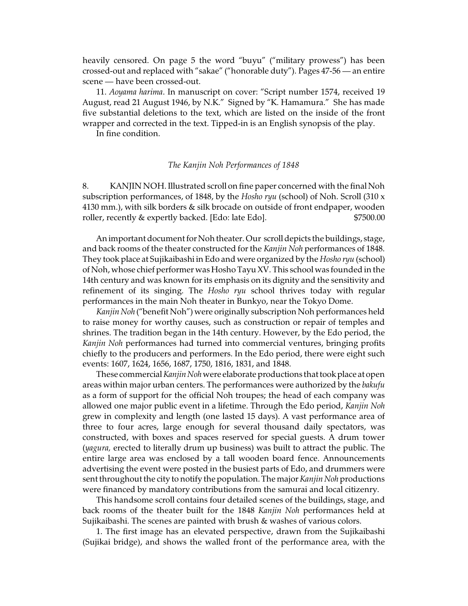heavily censored. On page 5 the word "buyu" ("military prowess") has been crossed-out and replaced with "sakae" ("honorable duty"). Pages 47-56 — an entire scene — have been crossed-out.

11. *Aoyama harima*. In manuscript on cover: "Script number 1574, received 19 August, read 21 August 1946, by N.K." Signed by "K. Hamamura." She has made five substantial deletions to the text, which are listed on the inside of the front wrapper and corrected in the text. Tipped-in is an English synopsis of the play.

In fine condition.

## *The Kanjin Noh Performances of 1848*

8. KANJIN NOH. Illustrated scroll on fine paper concerned with the final Noh subscription performances, of 1848, by the *Hosho ryu* (school) of Noh. Scroll (310 x 4130 mm.), with silk borders & silk brocade on outside of front endpaper, wooden roller, recently & expertly backed. [Edo: late Edo].  $$7500.00$ 

An important document for Noh theater. Our scroll depicts the buildings, stage, and back rooms of the theater constructed for the *Kanjin Noh* performances of 1848. They took place at Sujikaibashi in Edo and were organized by the *Hosho ryu* (school) of Noh, whose chief performer was Hosho Tayu XV. This school was founded in the 14th century and was known for its emphasis on its dignity and the sensitivity and refinement of its singing. The *Hosho ryu* school thrives today with regular performances in the main Noh theater in Bunkyo, near the Tokyo Dome.

*Kanjin Noh* ("benefit Noh") were originally subscription Noh performances held to raise money for worthy causes, such as construction or repair of temples and shrines. The tradition began in the 14th century. However, by the Edo period, the *Kanjin Noh* performances had turned into commercial ventures, bringing profits chiefly to the producers and performers. In the Edo period, there were eight such events: 1607, 1624, 1656, 1687, 1750, 1816, 1831, and 1848.

These commercial *Kanjin Noh* were elaborate productions that took place at open areas within major urban centers. The performances were authorized by the *bakufu* as a form of support for the official Noh troupes; the head of each company was allowed one major public event in a lifetime. Through the Edo period, *Kanjin Noh* grew in complexity and length (one lasted 15 days). A vast performance area of three to four acres, large enough for several thousand daily spectators, was constructed, with boxes and spaces reserved for special guests. A drum tower (*yagura,* erected to literally drum up business) was built to attract the public. The entire large area was enclosed by a tall wooden board fence. Announcements advertising the event were posted in the busiest parts of Edo, and drummers were sent throughout the city to notify the population. The major *Kanjin Noh* productions were financed by mandatory contributions from the samurai and local citizenry.

This handsome scroll contains four detailed scenes of the buildings, stage, and back rooms of the theater built for the 1848 *Kanjin Noh* performances held at Sujikaibashi. The scenes are painted with brush & washes of various colors.

1. The first image has an elevated perspective, drawn from the Sujikaibashi (Sujikai bridge), and shows the walled front of the performance area, with the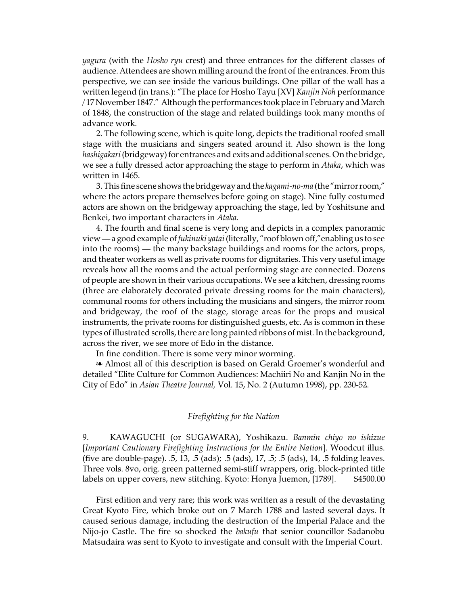*yagura* (with the *Hosho ryu* crest) and three entrances for the different classes of audience. Attendees are shown milling around the front of the entrances. From this perspective, we can see inside the various buildings. One pillar of the wall has a written legend (in trans.): "The place for Hosho Tayu [XV] *Kanjin Noh* performance /17 November 1847." Although the performances took place in February and March of 1848, the construction of the stage and related buildings took many months of advance work.

2. The following scene, which is quite long, depicts the traditional roofed small stage with the musicians and singers seated around it. Also shown is the long hashigakari (bridgeway) for entrances and exits and additional scenes. On the bridge, we see a fully dressed actor approaching the stage to perform in *Ataka*, which was written in 1465.

3.This fine scene shows the bridgeway andthe *kagami-no-ma* (the "mirror room," where the actors prepare themselves before going on stage). Nine fully costumed actors are shown on the bridgeway approaching the stage, led by Yoshitsune and Benkei, two important characters in *Ataka.*

4. The fourth and final scene is very long and depicts in a complex panoramic view—a goodexample of *fukinuki yatai* (literally, "roof blown off,"enabling us to see into the rooms) — the many backstage buildings and rooms for the actors, props, and theater workers as well as private rooms for dignitaries. This very useful image reveals how all the rooms and the actual performing stage are connected. Dozens of people are shown in their various occupations. We see a kitchen, dressing rooms (three are elaborately decorated private dressing rooms for the main characters), communal rooms for others including the musicians and singers, the mirror room and bridgeway, the roof of the stage, storage areas for the props and musical instruments, the private rooms for distinguished guests, etc. As is common in these types of illustrated scrolls, there are long painted ribbons of mist. In the background, across the river, we see more of Edo in the distance.

In fine condition. There is some very minor worming.

<sup>a</sup> Almost all of this description is based on Gerald Groemer's wonderful and detailed "Elite Culture for Common Audiences: Machiiri No and Kanjin No in the City of Edo" in *Asian Theatre Journal,* Vol. 15, No. 2 (Autumn 1998), pp. 230-52.

## *Firefighting for the Nation*

9. KAWAGUCHI (or SUGAWARA), Yoshikazu. *Banmin chiyo no ishizue* [*Important Cautionary Firefighting Instructions for the Entire Nation*]. Woodcut illus. (five are double-page). .5, 13, .5 (ads); .5 (ads), 17, .5; .5 (ads), 14, .5 folding leaves. Three vols. 8vo, orig. green patterned semi-stiff wrappers, orig. block-printed title labels on upper covers, new stitching. Kyoto: Honya Juemon, [1789]. \$4500.00

First edition and very rare; this work was written as a result of the devastating Great Kyoto Fire, which broke out on 7 March 1788 and lasted several days. It caused serious damage, including the destruction of the Imperial Palace and the Nijo-jo Castle. The fire so shocked the *bakufu* that senior councillor Sadanobu Matsudaira was sent to Kyoto to investigate and consult with the Imperial Court.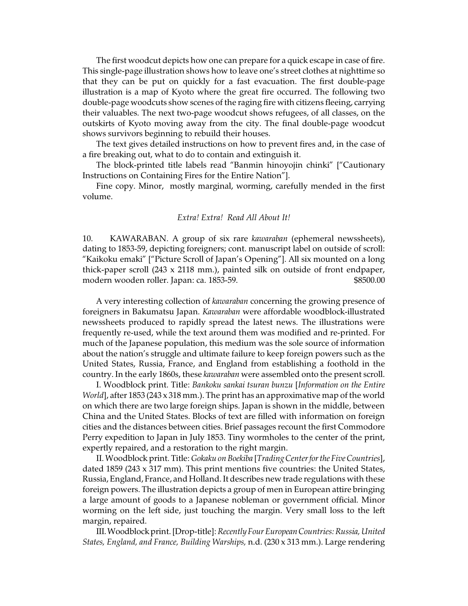The first woodcut depicts how one can prepare for a quick escape in case of fire. This single-page illustration shows how to leave one's street clothes at nighttime so that they can be put on quickly for a fast evacuation. The first double-page illustration is a map of Kyoto where the great fire occurred. The following two double-page woodcuts show scenes of the raging fire with citizens fleeing, carrying their valuables. The next two-page woodcut shows refugees, of all classes, on the outskirts of Kyoto moving away from the city. The final double-page woodcut shows survivors beginning to rebuild their houses.

The text gives detailed instructions on how to prevent fires and, in the case of a fire breaking out, what to do to contain and extinguish it.

The block-printed title labels read "Banmin hinoyojin chinki" ["Cautionary Instructions on Containing Fires for the Entire Nation"].

Fine copy. Minor, mostly marginal, worming, carefully mended in the first volume.

### *Extra! Extra! Read All About It!*

10. KAWARABAN. A group of six rare *kawaraban* (ephemeral newssheets), dating to 1853-59, depicting foreigners; cont. manuscript label on outside of scroll: "Kaikoku emaki" ["Picture Scroll of Japan's Opening"]. All six mounted on a long thick-paper scroll (243 x 2118 mm.), painted silk on outside of front endpaper, modern wooden roller. Japan: ca. 1853-59. **\$8500.00** \$8500.00

A very interesting collection of *kawaraban* concerning the growing presence of foreigners in Bakumatsu Japan. *Kawaraban* were affordable woodblock-illustrated newssheets produced to rapidly spread the latest news. The illustrations were frequently re-used, while the text around them was modified and re-printed. For much of the Japanese population, this medium was the sole source of information about the nation's struggle and ultimate failure to keep foreign powers such as the United States, Russia, France, and England from establishing a foothold in the country. In the early 1860s, these *kawaraban* were assembled onto the present scroll.

I. Woodblock print. Title: *Bankoku sankai tsuran bunzu* [*Information on the Entire World*], after 1853 (243 x 318 mm.). The print has an approximative map of the world on which there are two large foreign ships. Japan is shown in the middle, between China and the United States. Blocks of text are filled with information on foreign cities and the distances between cities. Brief passages recount the first Commodore Perry expedition to Japan in July 1853. Tiny wormholes to the center of the print, expertly repaired, and a restoration to the right margin.

II.Woodblock print. Title: *Gokaku on Boekiba* [*Trading Center for the Five Countries*], dated 1859 (243 x 317 mm). This print mentions five countries: the United States, Russia, England, France, and Holland. It describes new trade regulations with these foreign powers. The illustration depicts a group of men in European attire bringing a large amount of goods to a Japanese nobleman or government official. Minor worming on the left side, just touching the margin. Very small loss to the left margin, repaired.

III.Woodblock print.[Drop-title]: *Recently Four EuropeanCountries: Russia, United States, England, and France, Building Warships,* n.d. (230 x 313 mm.). Large rendering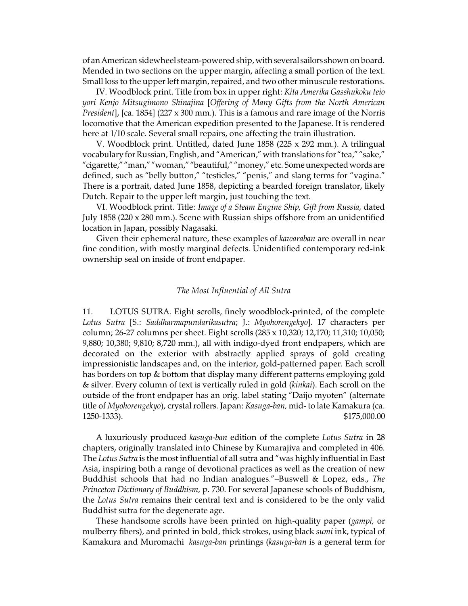of an American sidewheel steam-powered ship, with several sailors shown on board. Mended in two sections on the upper margin, affecting a small portion of the text. Small loss to the upper left margin, repaired, and two other minuscule restorations.

IV. Woodblock print. Title from box in upper right: *Kita Amerika Gasshukoku teio yori Kenjo Mitsugimono Shinajina* [*Offering of Many Gifts from the North American President*], [ca. 1854] (227 x 300 mm.). This is a famous and rare image of the Norris locomotive that the American expedition presented to the Japanese. It is rendered here at 1/10 scale. Several small repairs, one affecting the train illustration.

V. Woodblock print. Untitled, dated June 1858 (225 x 292 mm.). A trilingual vocabulary for Russian, English, and "American," with translations for "tea," "sake," "cigarette," "man," "woman," "beautiful," "money," etc. Some unexpected words are defined, such as "belly button," "testicles," "penis," and slang terms for "vagina." There is a portrait, dated June 1858, depicting a bearded foreign translator, likely Dutch. Repair to the upper left margin, just touching the text.

VI. Woodblock print. Title: *Image of a Steam Engine Ship, Gift from Russia,* dated July 1858 (220 x 280 mm.). Scene with Russian ships offshore from an unidentified location in Japan, possibly Nagasaki.

Given their ephemeral nature, these examples of *kawaraban* are overall in near fine condition, with mostly marginal defects. Unidentified contemporary red-ink ownership seal on inside of front endpaper.

## *The Most Influential of All Sutra*

11. LOTUS SUTRA. Eight scrolls, finely woodblock-printed, of the complete *Lotus Sutra* [S.: *Saddharmapundarikasutra*; J.: *Myohorengekyo*]. 17 characters per column; 26-27 columns per sheet. Eight scrolls (285 x 10,320; 12,170; 11,310; 10,050; 9,880; 10,380; 9,810; 8,720 mm.), all with indigo-dyed front endpapers, which are decorated on the exterior with abstractly applied sprays of gold creating impressionistic landscapes and, on the interior, gold-patterned paper. Each scroll has borders on top & bottom that display many different patterns employing gold & silver. Every column of text is vertically ruled in gold (*kinkai*). Each scroll on the outside of the front endpaper has an orig. label stating "Daijo myoten" (alternate title of *Myohorengekyo*), crystal rollers. Japan: *Kasuga-ban,* mid- to late Kamakura (ca. 1250-1333). \$175,000.00

A luxuriously produced *kasuga-ban* edition of the complete *Lotus Sutra* in 28 chapters, originally translated into Chinese by Kumarajiva and completed in 406. The *Lotus Sutra* is the most influential of all sutra and "was highly influential in East Asia, inspiring both a range of devotional practices as well as the creation of new Buddhist schools that had no Indian analogues."–Buswell & Lopez, eds., *The Princeton Dictionary of Buddhism,* p. 730. For several Japanese schools of Buddhism, the *Lotus Sutra* remains their central text and is considered to be the only valid Buddhist sutra for the degenerate age.

These handsome scrolls have been printed on high-quality paper (*gampi,* or mulberry fibers), and printed in bold, thick strokes, using black *sumi* ink, typical of Kamakura and Muromachi *kasuga-ban* printings (*kasuga-ban* is a general term for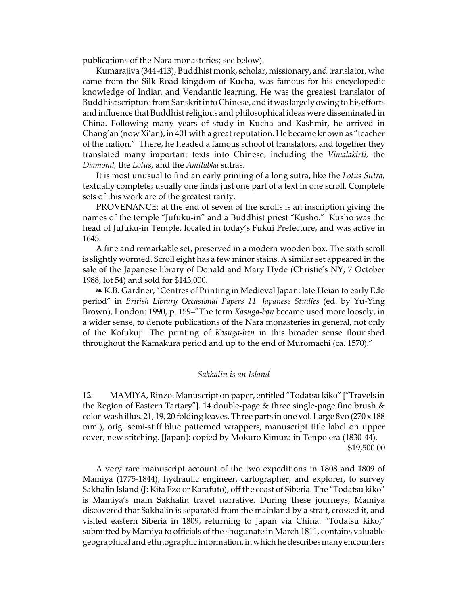publications of the Nara monasteries; see below).

Kumarajiva (344-413), Buddhist monk, scholar, missionary, and translator, who came from the Silk Road kingdom of Kucha, was famous for his encyclopedic knowledge of Indian and Vendantic learning. He was the greatest translator of Buddhist scripture from Sanskrit into Chinese, andit was largely owing to his efforts and influence that Buddhist religious and philosophical ideas were disseminated in China. Following many years of study in Kucha and Kashmir, he arrived in Chang'an (now Xi'an), in 401 with a great reputation. He became known as "teacher of the nation." There, he headed a famous school of translators, and together they translated many important texts into Chinese, including the *Vimalakirti,* the *Diamond,* the *Lotus,* and the *Amitabha* sutras.

It is most unusual to find an early printing of a long sutra, like the *Lotus Sutra,* textually complete; usually one finds just one part of a text in one scroll. Complete sets of this work are of the greatest rarity.

PROVENANCE: at the end of seven of the scrolls is an inscription giving the names of the temple "Jufuku-in" and a Buddhist priest "Kusho." Kusho was the head of Jufuku-in Temple, located in today's Fukui Prefecture, and was active in 1645.

A fine and remarkable set, preserved in a modern wooden box. The sixth scroll is slightly wormed. Scroll eight has a few minor stains. A similar set appeared in the sale of the Japanese library of Donald and Mary Hyde (Christie's NY, 7 October 1988, lot 54) and sold for \$143,000.

É K.B. Gardner, "Centres of Printing in Medieval Japan: late Heian to early Edo period" in *British Library Occasional Papers 11. Japanese Studies* (ed. by Yu-Ying Brown), London: 1990, p. 159–"The term *Kasuga-ban* became used more loosely, in a wider sense, to denote publications of the Nara monasteries in general, not only of the Kofukuji. The printing of *Kasuga-ban* in this broader sense flourished throughout the Kamakura period and up to the end of Muromachi (ca. 1570)."

## *Sakhalin is an Island*

12. MAMIYA, Rinzo. Manuscript on paper, entitled "Todatsu kiko" ["Travels in the Region of Eastern Tartary"]. 14 double-page & three single-page fine brush & color-wash illus. 21, 19, 20 folding leaves. Three parts in one vol. Large 8vo (270 x 188 mm.), orig. semi-stiff blue patterned wrappers, manuscript title label on upper cover, new stitching. [Japan]: copied by Mokuro Kimura in Tenpo era (1830-44).

\$19,500.00

A very rare manuscript account of the two expeditions in 1808 and 1809 of Mamiya (1775-1844), hydraulic engineer, cartographer, and explorer, to survey Sakhalin Island (J: Kita Ezo or Karafuto), off the coast of Siberia. The "Todatsu kiko" is Mamiya's main Sakhalin travel narrative. During these journeys, Mamiya discovered that Sakhalin is separated from the mainland by a strait, crossed it, and visited eastern Siberia in 1809, returning to Japan via China. "Todatsu kiko," submitted by Mamiya to officials of the shogunate in March 1811, contains valuable geographical and ethnographic information, in which he describes many encounters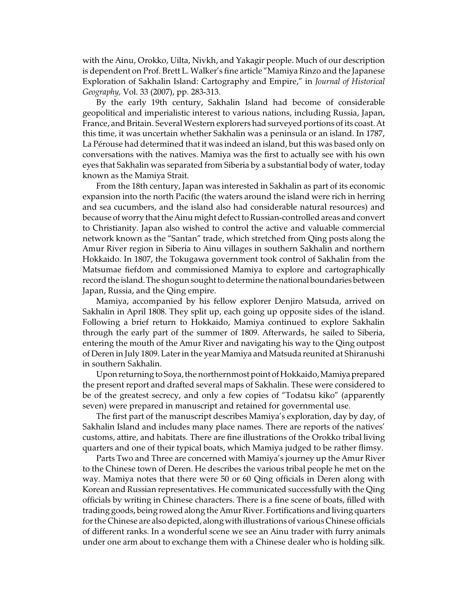with the Ainu, Orokko, Uilta, Nivkh, and Yakagir people. Much of our description is dependent on Prof. Brett L. Walker's fine article "Mamiya Rinzo and the Japanese Exploration of Sakhalin Island: Cartography and Empire," in *Journal of Historical Geography,* Vol. 33 (2007), pp. 283-313.

By the early 19th century, Sakhalin Island had become of considerable geopolitical and imperialistic interest to various nations, including Russia, Japan, France, and Britain. Several Western explorers had surveyed portions of its coast.At this time, it was uncertain whether Sakhalin was a peninsula or an island. In 1787, La Pérouse had determined that it was indeed an island, but this was based only on conversations with the natives. Mamiya was the first to actually see with his own eyes that Sakhalin was separated from Siberia by a substantial body of water, today known as the Mamiya Strait.

From the 18th century, Japan was interested in Sakhalin as part of its economic expansion into the north Pacific (the waters around the island were rich in herring and sea cucumbers, and the island also had considerable natural resources) and because of worry that the Ainu might defect to Russian-controlled areas and convert to Christianity. Japan also wished to control the active and valuable commercial network known as the "Santan" trade, which stretched from Qing posts along the Amur River region in Siberia to Ainu villages in southern Sakhalin and northern Hokkaido. In 1807, the Tokugawa government took control of Sakhalin from the Matsumae fiefdom and commissioned Mamiya to explore and cartographically record the island. The shogun sought to determine the national boundaries between Japan, Russia, and the Qing empire.

Mamiya, accompanied by his fellow explorer Denjiro Matsuda, arrived on Sakhalin in April 1808. They split up, each going up opposite sides of the island. Following a brief return to Hokkaido, Mamiya continued to explore Sakhalin through the early part of the summer of 1809. Afterwards, he sailed to Siberia, entering the mouth of the Amur River and navigating his way to the Qing outpost of Deren in July 1809. Later in the year Mamiya and Matsuda reunited at Shiranushi in southern Sakhalin.

Upon returning to Soya, the northernmost point of Hokkaido, Mamiya prepared the present report and drafted several maps of Sakhalin. These were considered to be of the greatest secrecy, and only a few copies of "Todatsu kiko" (apparently seven) were prepared in manuscript and retained for governmental use.

The first part of the manuscript describes Mamiya's exploration, day by day, of Sakhalin Island and includes many place names. There are reports of the natives' customs, attire, and habitats. There are fine illustrations of the Orokko tribal living quarters and one of their typical boats, which Mamiya judged to be rather flimsy.

Parts Two and Three are concerned with Mamiya's journey up the Amur River to the Chinese town of Deren. He describes the various tribal people he met on the way. Mamiya notes that there were 50 or 60 Qing officials in Deren along with Korean and Russian representatives. He communicated successfully with the Qing officials by writing in Chinese characters. There is a fine scene of boats, filled with trading goods, being rowed along the Amur River. Fortifications and living quarters for the Chinese are also depicted, along with illustrations of various Chinese officials of different ranks. In a wonderful scene we see an Ainu trader with furry animals under one arm about to exchange them with a Chinese dealer who is holding silk.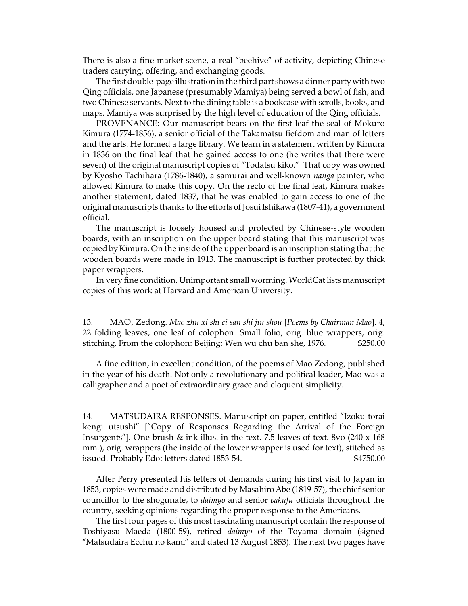There is also a fine market scene, a real "beehive" of activity, depicting Chinese traders carrying, offering, and exchanging goods.

The first double-page illustration in the third part shows a dinner party with two Qing officials, one Japanese (presumably Mamiya) being served a bowl of fish, and two Chinese servants. Next to the dining table is a bookcase with scrolls, books, and maps. Mamiya was surprised by the high level of education of the Qing officials.

PROVENANCE: Our manuscript bears on the first leaf the seal of Mokuro Kimura (1774-1856), a senior official of the Takamatsu fiefdom and man of letters and the arts. He formed a large library. We learn in a statement written by Kimura in 1836 on the final leaf that he gained access to one (he writes that there were seven) of the original manuscript copies of "Todatsu kiko." That copy was owned by Kyosho Tachihara (1786-1840), a samurai and well-known *nanga* painter, who allowed Kimura to make this copy. On the recto of the final leaf, Kimura makes another statement, dated 1837, that he was enabled to gain access to one of the original manuscripts thanks to the efforts of Josui Ishikawa (1807-41), a government official.

The manuscript is loosely housed and protected by Chinese-style wooden boards, with an inscription on the upper board stating that this manuscript was copied by Kimura. On the inside of the upper board is an inscription stating that the wooden boards were made in 1913. The manuscript is further protected by thick paper wrappers.

In very fine condition. Unimportant small worming. WorldCat lists manuscript copies of this work at Harvard and American University.

13. MAO, Zedong. *Mao zhu xi shi ci san shi jiu shou* [*Poems by Chairman Mao*]. 4, 22 folding leaves, one leaf of colophon. Small folio, orig. blue wrappers, orig. stitching. From the colophon: Beijing: Wen wu chu ban she, 1976. \$250.00

A fine edition, in excellent condition, of the poems of Mao Zedong, published in the year of his death. Not only a revolutionary and political leader, Mao was a calligrapher and a poet of extraordinary grace and eloquent simplicity.

14. MATSUDAIRA RESPONSES. Manuscript on paper, entitled "Izoku torai kengi utsushi" ["Copy of Responses Regarding the Arrival of the Foreign Insurgents"]. One brush & ink illus. in the text. 7.5 leaves of text. 8vo (240 x 168 mm.), orig. wrappers (the inside of the lower wrapper is used for text), stitched as issued. Probably Edo: letters dated 1853-54.  $$4750.00$ 

After Perry presented his letters of demands during his first visit to Japan in 1853, copies were made and distributed by Masahiro Abe (1819-57), the chief senior councillor to the shogunate, to *daimyo* and senior *bakufu* officials throughout the country, seeking opinions regarding the proper response to the Americans.

The first four pages of this most fascinating manuscript contain the response of Toshiyasu Maeda (1800-59), retired *daimyo* of the Toyama domain (signed "Matsudaira Ecchu no kami" and dated 13 August 1853). The next two pages have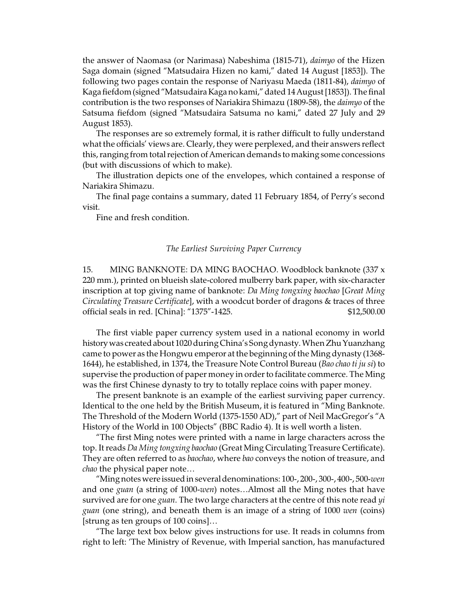the answer of Naomasa (or Narimasa) Nabeshima (1815-71), *daimyo* of the Hizen Saga domain (signed "Matsudaira Hizen no kami," dated 14 August [1853]). The following two pages contain the response of Nariyasu Maeda (1811-84), *daimyo* of Kaga fiefdom (signed"Matsudaira Kaga no kami," dated 14 August [1853]). The final contribution is the two responses of Nariakira Shimazu (1809-58), the *daimyo* of the Satsuma fiefdom (signed "Matsudaira Satsuma no kami," dated 27 July and 29 August 1853).

The responses are so extremely formal, it is rather difficult to fully understand what the officials' views are. Clearly, they were perplexed, and their answers reflect this, ranging from total rejection of American demands to making some concessions (but with discussions of which to make).

The illustration depicts one of the envelopes, which contained a response of Nariakira Shimazu.

The final page contains a summary, dated 11 February 1854, of Perry's second visit.

Fine and fresh condition.

## *The Earliest Surviving Paper Currency*

15. MING BANKNOTE: DA MING BAOCHAO. Woodblock banknote (337 x 220 mm.), printed on blueish slate-colored mulberry bark paper, with six-character inscription at top giving name of banknote: *Da Ming tongxing baochao* [*Great Ming Circulating Treasure Certificate*], with a woodcut border of dragons & traces of three official seals in red. [China]: "1375"-1425. \$12,500.00

The first viable paper currency system used in a national economy in world history was created about 1020 during China's Song dynasty. When Zhu Yuanzhang came to power as the Hongwu emperor at the beginning of the Ming dynasty (1368- 1644), he established, in 1374, the Treasure Note Control Bureau (*Bao chao ti ju si*) to supervise the production of paper money in order to facilitate commerce. The Ming was the first Chinese dynasty to try to totally replace coins with paper money.

The present banknote is an example of the earliest surviving paper currency. Identical to the one held by the British Museum, it is featured in "Ming Banknote. The Threshold of the Modern World (1375-1550 AD)," part of Neil MacGregor's "A History of the World in 100 Objects" (BBC Radio 4). It is well worth a listen.

"The first Ming notes were printed with a name in large characters across the top. It reads *Da Ming tongxing baochao* (Great Ming Circulating Treasure Certificate). They are often referred to as *baochao*, where *bao* conveys the notion of treasure, and *chao* the physical paper note…

"Mingnotes were issuedin several denominations: 100-, 200-, 300-, 400-, 500-*wen* and one *guan* (a string of 1000-*wen*) notes…Almost all the Ming notes that have survived are for one *guan*. The two large characters at the centre of this note read *yi guan* (one string), and beneath them is an image of a string of 1000 *wen* (coins) [strung as ten groups of 100 coins]…

"The large text box below gives instructions for use. It reads in columns from right to left: 'The Ministry of Revenue, with Imperial sanction, has manufactured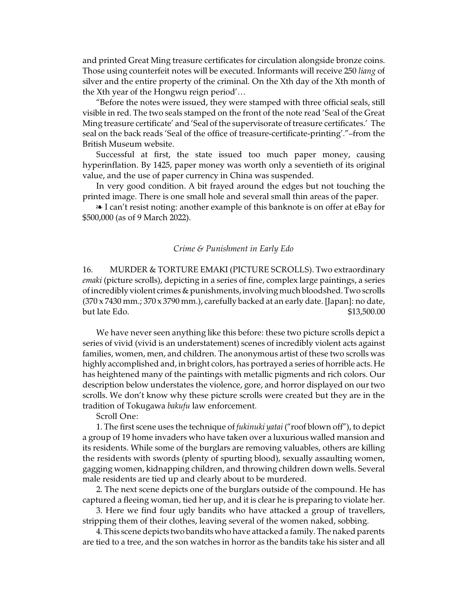and printed Great Ming treasure certificates for circulation alongside bronze coins. Those using counterfeit notes will be executed. Informants will receive 250 *liang* of silver and the entire property of the criminal. On the Xth day of the Xth month of the Xth year of the Hongwu reign period'…

"Before the notes were issued, they were stamped with three official seals, still visible in red. The two seals stamped on the front of the note read 'Seal of the Great Ming treasure certificate' and 'Seal of the supervisorate of treasure certificates.' The seal on the back reads 'Seal of the office of treasure-certificate-printing'."–from the British Museum website.

Successful at first, the state issued too much paper money, causing hyperinflation. By 1425, paper money was worth only a seventieth of its original value, and the use of paper currency in China was suspended.

In very good condition. A bit frayed around the edges but not touching the printed image. There is one small hole and several small thin areas of the paper.

Let I can't resist noting: another example of this banknote is on offer at eBay for \$500,000 (as of 9 March 2022).

### *Crime & Punishment in Early Edo*

16. MURDER & TORTURE EMAKI (PICTURE SCROLLS). Two extraordinary *emaki* (picture scrolls), depicting in a series of fine, complex large paintings, a series of incredibly violent crimes & punishments, involving muchbloodshed. Two scrolls (370 x 7430 mm.; 370 x 3790 mm.), carefully backed at an early date. [Japan]: no date, but late Edo.  $$13,500.00$ 

We have never seen anything like this before: these two picture scrolls depict a series of vivid (vivid is an understatement) scenes of incredibly violent acts against families, women, men, and children. The anonymous artist of these two scrolls was highly accomplished and, in bright colors, has portrayed a series of horrible acts. He has heightened many of the paintings with metallic pigments and rich colors. Our description below understates the violence, gore, and horror displayed on our two scrolls. We don't know why these picture scrolls were created but they are in the tradition of Tokugawa *bakufu* law enforcement.

Scroll One:

1. The first scene uses the technique of *fukinuki yatai* ("roof blown off"), to depict a group of 19 home invaders who have taken over a luxurious walled mansion and its residents. While some of the burglars are removing valuables, others are killing the residents with swords (plenty of spurting blood), sexually assaulting women, gagging women, kidnapping children, and throwing children down wells. Several male residents are tied up and clearly about to be murdered.

2. The next scene depicts one of the burglars outside of the compound. He has captured a fleeing woman, tied her up, and it is clear he is preparing to violate her.

3. Here we find four ugly bandits who have attacked a group of travellers, stripping them of their clothes, leaving several of the women naked, sobbing.

4. This scene depicts two bandits who have attacked a family. The naked parents are tied to a tree, and the son watches in horror as the bandits take his sister and all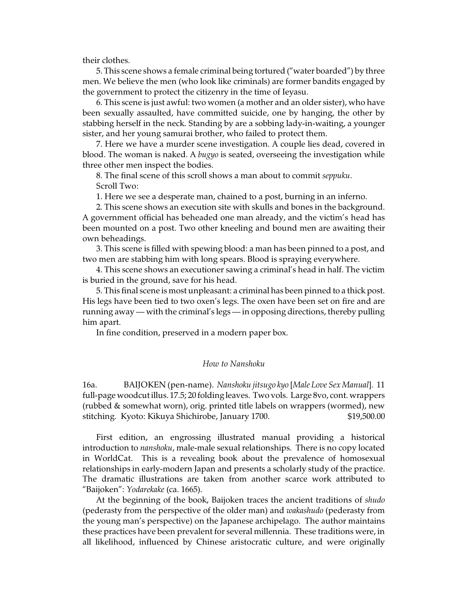their clothes.

5. This scene shows a female criminal being tortured ("water boarded") by three men. We believe the men (who look like criminals) are former bandits engaged by the government to protect the citizenry in the time of Ieyasu.

6. This scene is just awful: two women (a mother and an older sister), who have been sexually assaulted, have committed suicide, one by hanging, the other by stabbing herself in the neck. Standing by are a sobbing lady-in-waiting, a younger sister, and her young samurai brother, who failed to protect them.

7. Here we have a murder scene investigation. A couple lies dead, covered in blood. The woman is naked. A *bugyo* is seated, overseeing the investigation while three other men inspect the bodies.

8. The final scene of this scroll shows a man about to commit *seppuku*. Scroll Two:

1. Here we see a desperate man, chained to a post, burning in an inferno.

2. This scene shows an execution site with skulls and bones in the background. A government official has beheaded one man already, and the victim's head has been mounted on a post. Two other kneeling and bound men are awaiting their own beheadings.

3. This scene is filled with spewing blood: a man has been pinned to a post, and two men are stabbing him with long spears. Blood is spraying everywhere.

4. This scene shows an executioner sawing a criminal's head in half. The victim is buried in the ground, save for his head.

5. This final scene is most unpleasant: a criminal has been pinned to a thick post. His legs have been tied to two oxen's legs. The oxen have been set on fire and are running away — with the criminal's legs — in opposing directions, thereby pulling him apart.

In fine condition, preserved in a modern paper box.

#### *How to Nanshoku*

16a. BAIJOKEN (pen-name). *Nanshoku jitsugo kyo* [*Male Love Sex Manual*]. 11 full-page woodcut illus. 17.5; 20 folding leaves. Two vols. Large 8vo, cont. wrappers (rubbed & somewhat worn), orig. printed title labels on wrappers (wormed), new stitching. Kyoto: Kikuya Shichirobe, January 1700. \$19,500.00

First edition, an engrossing illustrated manual providing a historical introduction to *nanshoku*, male-male sexual relationships. There is no copy located in WorldCat. This is a revealing book about the prevalence of homosexual relationships in early-modern Japan and presents a scholarly study of the practice. The dramatic illustrations are taken from another scarce work attributed to "Baijoken": *Yodarekake* (ca. 1665).

At the beginning of the book, Baijoken traces the ancient traditions of *shudo* (pederasty from the perspective of the older man) and *wakashudo* (pederasty from the young man's perspective) on the Japanese archipelago. The author maintains these practices have been prevalent for several millennia. These traditions were, in all likelihood, influenced by Chinese aristocratic culture, and were originally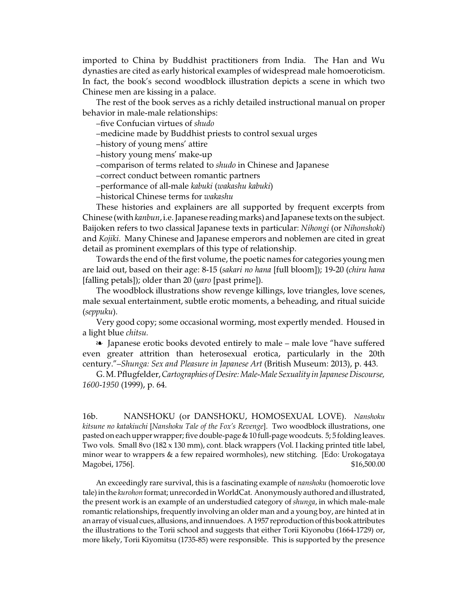imported to China by Buddhist practitioners from India. The Han and Wu dynasties are cited as early historical examples of widespread male homoeroticism. In fact, the book's second woodblock illustration depicts a scene in which two Chinese men are kissing in a palace.

The rest of the book serves as a richly detailed instructional manual on proper behavior in male-male relationships:

–five Confucian virtues of *shudo*

–medicine made by Buddhist priests to control sexual urges

–history of young mens' attire

–history young mens' make-up

–comparison of terms related to *shudo* in Chinese and Japanese

–correct conduct between romantic partners

–performance of all-male *kabuki* (*wakashu kabuki*)

–historical Chinese terms for *wakashu*

These histories and explainers are all supported by frequent excerpts from Chinese (with *kanbun*, i.e.Japanese reading marks) andJapanese texts on the subject. Baijoken refers to two classical Japanese texts in particular: *Nihongi* (or *Nihonshoki*) and *Kojiki*. Many Chinese and Japanese emperors and noblemen are cited in great detail as prominent exemplars of this type of relationship.

Towards the end of the first volume, the poetic names for categories young men are laid out, based on their age: 8-15 (*sakari no hana* [full bloom]); 19-20 (*chiru hana* [falling petals]); older than 20 (*yaro* [past prime]).

The woodblock illustrations show revenge killings, love triangles, love scenes, male sexual entertainment, subtle erotic moments, a beheading, and ritual suicide (*seppuku*).

Very good copy; some occasional worming, most expertly mended. Housed in a light blue *chitsu.*

**EXED:** Japanese erotic books devoted entirely to male – male love "have suffered even greater attrition than heterosexual erotica, particularly in the 20th century."–*Shunga: Sex and Pleasure in Japanese Art* (British Museum: 2013), p. 443.

G.M.Pflugfelder,*Cartographies ofDesire: Male-Male Sexuality in Japanese Discourse, 1600-1950* (1999), p. 64.

16b. NANSHOKU (or DANSHOKU, HOMOSEXUAL LOVE). *Nanshoku kitsune no katakiuchi* [*Nanshoku Tale of the Fox's Revenge*]. Two woodblock illustrations, one pasted on each upper wrapper; five double-page & 10 full-page woodcuts. 5; 5 folding leaves. Two vols. Small 8vo (182 x 130 mm), cont. black wrappers (Vol. I lacking printed title label, minor wear to wrappers & a few repaired wormholes), new stitching. [Edo: Urokogataya Magobei, 1756]. \$16,500.00

An exceedingly rare survival, this is a fascinating example of *nanshoku* (homoerotic love tale) in the *kurohon* format; unrecorded in WorldCat. Anonymously authored and illustrated, the present work is an example of an understudied category of *shunga*, in which male-male romantic relationships, frequently involving an older man and a young boy, are hinted at in an array of visual cues, allusions, and innuendoes. A 1957 reproduction ofthisbook attributes the illustrations to the Torii school and suggests that either Torii Kiyonobu (1664-1729) or, more likely, Torii Kiyomitsu (1735-85) were responsible. This is supported by the presence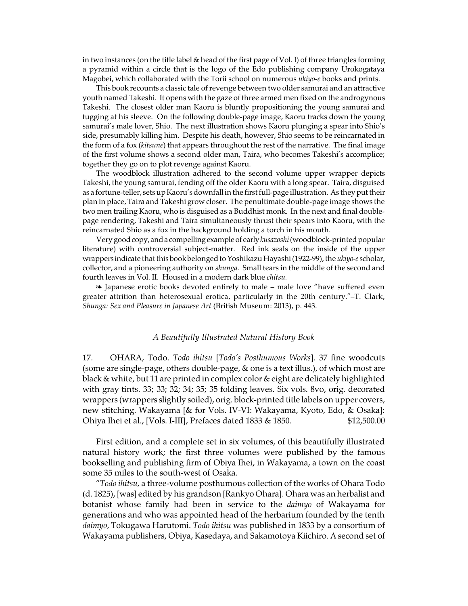in two instances (on the title label & head of the first page of Vol. I) of three triangles forming a pyramid within a circle that is the logo of the Edo publishing company Urokogataya Magobei, which collaborated with the Torii school on numerous *ukiyo-e* books and prints.

This book recounts a classic tale of revenge between two older samurai and an attractive youth named Takeshi. It opens with the gaze of three armed men fixed on the androgynous Takeshi. The closest older man Kaoru is bluntly propositioning the young samurai and tugging at his sleeve. On the following double-page image, Kaoru tracks down the young samurai's male lover, Shio. The next illustration shows Kaoru plunging a spear into Shio's side, presumably killing him. Despite his death, however, Shio seems to be reincarnated in the form of a fox (*kitsune*) that appears throughout the rest of the narrative. The final image of the first volume shows a second older man, Taira, who becomes Takeshi's accomplice; together they go on to plot revenge against Kaoru.

The woodblock illustration adhered to the second volume upper wrapper depicts Takeshi, the young samurai, fending off the older Kaoru with a long spear. Taira, disguised as a fortune-teller, sets up Kaoru's downfall in the first full-page illustration. As they put their plan in place, Taira and Takeshi grow closer. The penultimate double-page image shows the two men trailing Kaoru, who is disguised as a Buddhist monk. In the next and final doublepage rendering, Takeshi and Taira simultaneously thrust their spears into Kaoru, with the reincarnated Shio as a fox in the background holding a torch in his mouth.

Very good copy, anda compellingexampleof early *kusazoshi*(woodblock-printed popular literature) with controversial subject-matter. Red ink seals on the inside of the upper wrappers indicate that this book belonged to Yoshikazu Hayashi (1922-99), the *ukiyo-e* scholar, collector, and a pioneering authority on *shunga.* Small tears in the middle of the second and fourth leaves in Vol. II. Housed in a modern dark blue *chitsu.*

**EX** Japanese erotic books devoted entirely to male – male love "have suffered even greater attrition than heterosexual erotica, particularly in the 20th century."–T. Clark, *Shunga: Sex and Pleasure in Japanese Art* (British Museum: 2013), p. 443.

#### *A Beautifully Illustrated Natural History Book*

17. OHARA, Todo. *Todo ihitsu* [*Todo's Posthumous Works*]. 37 fine woodcuts (some are single-page, others double-page, & one is a text illus.), of which most are black & white, but 11 are printed in complex color & eight are delicately highlighted with gray tints. 33; 33; 32; 34; 35; 35 folding leaves. Six vols. 8vo, orig. decorated wrappers (wrappers slightly soiled), orig. block-printed title labels on upper covers, new stitching. Wakayama [& for Vols. IV-VI: Wakayama, Kyoto, Edo, & Osaka]: Ohiya Ihei et al., [Vols. I-III], Prefaces dated 1833 & 1850. \$12,500.00

First edition, and a complete set in six volumes, of this beautifully illustrated natural history work; the first three volumes were published by the famous bookselling and publishing firm of Obiya Ihei, in Wakayama, a town on the coast some 35 miles to the south-west of Osaka.

"*Todo ihitsu,* a three-volume posthumous collection of the works of Ohara Todo (d. 1825), [was] edited by his grandson [Rankyo Ohara]. Ohara was an herbalist and botanist whose family had been in service to the *daimyo* of Wakayama for generations and who was appointed head of the herbarium founded by the tenth *daimyo*, Tokugawa Harutomi. *Todo ihitsu* was published in 1833 by a consortium of Wakayama publishers, Obiya, Kasedaya, and Sakamotoya Kiichiro. A second set of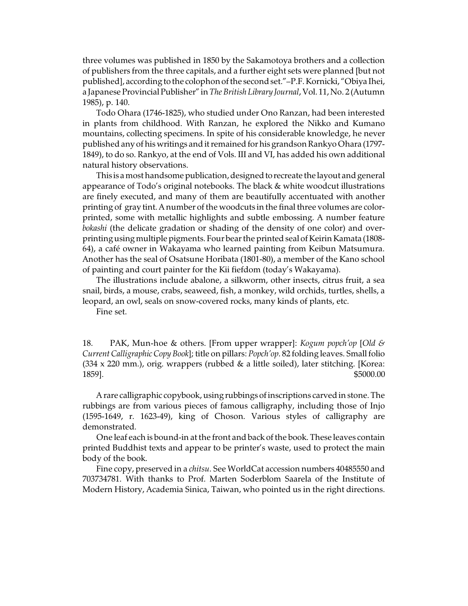three volumes was published in 1850 by the Sakamotoya brothers and a collection of publishers from the three capitals, and a further eight sets were planned [but not published], according to the colophon of the second set."–P.F. Kornicki, "Obiya Ihei, a Japanese Provincial Publisher" in *The British Library Journal*, Vol. 11, No. 2 (Autumn 1985), p. 140.

Todo Ohara (1746-1825), who studied under Ono Ranzan, had been interested in plants from childhood. With Ranzan, he explored the Nikko and Kumano mountains, collecting specimens. In spite of his considerable knowledge, he never published any of his writings and it remained for his grandson Rankyo Ohara (1797-1849), to do so. Rankyo, at the end of Vols. III and VI, has added his own additional natural history observations.

This is a most handsome publication, designed to recreate the layout and general appearance of Todo's original notebooks. The black & white woodcut illustrations are finely executed, and many of them are beautifully accentuated with another printing of gray tint.A number of the woodcuts in the final three volumes are colorprinted, some with metallic highlights and subtle embossing. A number feature *bokashi* (the delicate gradation or shading of the density of one color) and overprinting using multiple pigments. Four bear the printed seal of Keirin Kamata (1808-64), a café owner in Wakayama who learned painting from Keibun Matsumura. Another has the seal of Osatsune Horibata (1801-80), a member of the Kano school of painting and court painter for the Kii fiefdom (today's Wakayama).

The illustrations include abalone, a silkworm, other insects, citrus fruit, a sea snail, birds, a mouse, crabs, seaweed, fish, a monkey, wild orchids, turtles, shells, a leopard, an owl, seals on snow-covered rocks, many kinds of plants, etc.

Fine set.

18. PAK, Mun-hoe & others. [From upper wrapper]: *Kogum popch'op* [*Old & Current Calligraphic Copy Book*]; title on pillars: *Popch'op*. 82 folding leaves. Small folio  $(334 \times 220 \text{ mm.})$ , orig. wrappers (rubbed & a little soiled), later stitching. [Korea: 1859]. \$5000.00

A rare calligraphic copybook, using rubbings of inscriptions carved in stone. The rubbings are from various pieces of famous calligraphy, including those of Injo (1595-1649, r. 1623-49), king of Choson. Various styles of calligraphy are demonstrated.

One leaf each is bound-in at the front and back of the book. These leaves contain printed Buddhist texts and appear to be printer's waste, used to protect the main body of the book.

Fine copy, preserved in a *chitsu*. See WorldCat accession numbers 40485550 and 703734781. With thanks to Prof. Marten Soderblom Saarela of the Institute of Modern History, Academia Sinica, Taiwan, who pointed us in the right directions.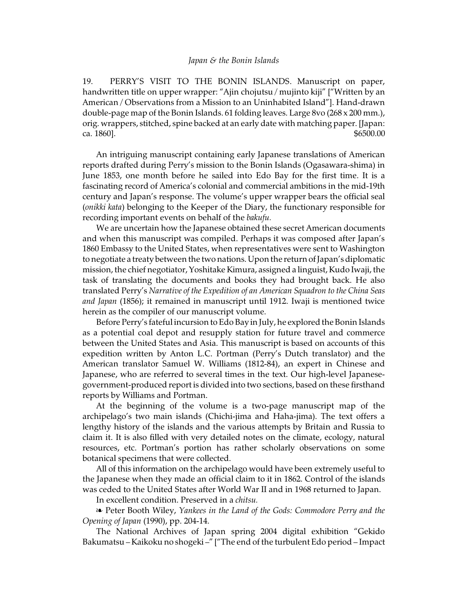19. PERRY'S VISIT TO THE BONIN ISLANDS. Manuscript on paper, handwritten title on upper wrapper: "Ajin chojutsu / mujinto kiji" ["Written by an American / Observations from a Mission to an Uninhabited Island"]. Hand-drawn double-page map of the Bonin Islands. 61 folding leaves. Large 8vo (268 x 200 mm.), orig. wrappers, stitched, spine backed at an early date with matching paper. [Japan: ca. 1860].  $$6500.00$ 

An intriguing manuscript containing early Japanese translations of American reports drafted during Perry's mission to the Bonin Islands (Ogasawara-shima) in June 1853, one month before he sailed into Edo Bay for the first time. It is a fascinating record of America's colonial and commercial ambitions in the mid-19th century and Japan's response. The volume's upper wrapper bears the official seal (*onikki kata*) belonging to the Keeper of the Diary, the functionary responsible for recording important events on behalf of the *bakufu.*

We are uncertain how the Japanese obtained these secret American documents and when this manuscript was compiled. Perhaps it was composed after Japan's 1860 Embassy to the United States, when representatives were sent to Washington to negotiate a treaty between the two nations. Upon the return of Japan's diplomatic mission, the chief negotiator, Yoshitake Kimura, assigned a linguist,Kudo Iwaji, the task of translating the documents and books they had brought back. He also translated Perry's *Narrative of the Expedition of an American Squadron to the China Seas and Japan* (1856); it remained in manuscript until 1912. Iwaji is mentioned twice herein as the compiler of our manuscript volume.

Before Perry's fateful incursion to Edo Bay in July, he explored the Bonin Islands as a potential coal depot and resupply station for future travel and commerce between the United States and Asia. This manuscript is based on accounts of this expedition written by Anton L.C. Portman (Perry's Dutch translator) and the American translator Samuel W. Williams (1812-84), an expert in Chinese and Japanese, who are referred to several times in the text. Our high-level Japanesegovernment-produced report is divided into two sections, based on these firsthand reports by Williams and Portman.

At the beginning of the volume is a two-page manuscript map of the archipelago's two main islands (Chichi-jima and Haha-jima). The text offers a lengthy history of the islands and the various attempts by Britain and Russia to claim it. It is also filled with very detailed notes on the climate, ecology, natural resources, etc. Portman's portion has rather scholarly observations on some botanical specimens that were collected.

All of this information on the archipelago would have been extremely useful to the Japanese when they made an official claim to it in 1862. Control of the islands was ceded to the United States after World War II and in 1968 returned to Japan.

In excellent condition. Preserved in a *chitsu.*

**EXECTER Booth Wiley, Yankees in the Land of the Gods: Commodore Perry and the** *Opening of Japan* (1990), pp. 204-14.

The National Archives of Japan spring 2004 digital exhibition "Gekido Bakumatsu – Kaikoku no shogeki –" ["The end of the turbulent Edo period – Impact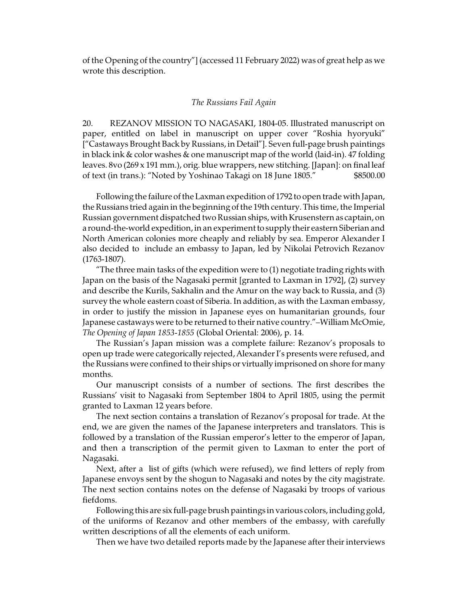of the Opening of the country"] (accessed 11 February 2022) was of great help as we wrote this description.

## *The Russians Fail Again*

20. REZANOV MISSION TO NAGASAKI, 1804-05. Illustrated manuscript on paper, entitled on label in manuscript on upper cover "Roshia hyoryuki" ["Castaways Brought Back by Russians, in Detail"]. Seven full-page brush paintings in black ink & color washes & one manuscript map of the world (laid-in). 47 folding leaves. 8vo (269 x 191 mm.), orig. blue wrappers, new stitching. [Japan]: on final leaf of text (in trans.): "Noted by Yoshinao Takagi on 18 June 1805." \$8500.00

Following the failure of the Laxmanexpedition of 1792 to open trade with Japan, the Russians tried again in the beginning of the 19th century. This time, the Imperial Russian government dispatched two Russian ships, with Krusenstern as captain, on a round-the-world expedition, in an experiment to supply their eastern Siberian and North American colonies more cheaply and reliably by sea. Emperor Alexander I also decided to include an embassy to Japan, led by Nikolai Petrovich Rezanov (1763-1807).

"The three main tasks of the expedition were to (1) negotiate trading rights with Japan on the basis of the Nagasaki permit [granted to Laxman in 1792], (2) survey and describe the Kurils, Sakhalin and the Amur on the way back to Russia, and (3) survey the whole eastern coast of Siberia. In addition, as with the Laxman embassy, in order to justify the mission in Japanese eyes on humanitarian grounds, four Japanese castaways were to be returned to their native country."–William McOmie, *The Opening of Japan 1853-1855* (Global Oriental: 2006), p. 14.

The Russian's Japan mission was a complete failure: Rezanov's proposals to open up trade were categorically rejected, Alexander I's presents were refused, and the Russians were confined to their ships or virtually imprisoned on shore for many months.

Our manuscript consists of a number of sections. The first describes the Russians' visit to Nagasaki from September 1804 to April 1805, using the permit granted to Laxman 12 years before.

The next section contains a translation of Rezanov's proposal for trade. At the end, we are given the names of the Japanese interpreters and translators. This is followed by a translation of the Russian emperor's letter to the emperor of Japan, and then a transcription of the permit given to Laxman to enter the port of Nagasaki.

Next, after a list of gifts (which were refused), we find letters of reply from Japanese envoys sent by the shogun to Nagasaki and notes by the city magistrate. The next section contains notes on the defense of Nagasaki by troops of various fiefdoms.

Following this are six full-page brush paintings in various colors, including gold, of the uniforms of Rezanov and other members of the embassy, with carefully written descriptions of all the elements of each uniform.

Then we have two detailed reports made by the Japanese after their interviews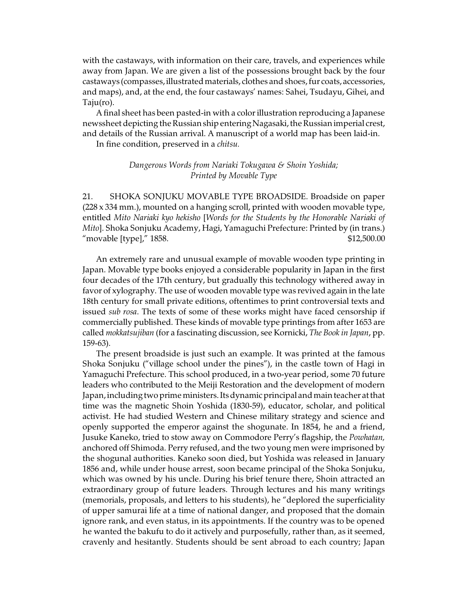with the castaways, with information on their care, travels, and experiences while away from Japan. We are given a list of the possessions brought back by the four castaways (compasses, illustrated materials, clothes and shoes, fur coats, accessories, and maps), and, at the end, the four castaways' names: Sahei, Tsudayu, Gihei, and Taju(ro).

A final sheet has been pasted-in with a color illustration reproducing a Japanese newssheet depicting the Russian ship entering Nagasaki, the Russian imperial crest, and details of the Russian arrival. A manuscript of a world map has been laid-in.

In fine condition, preserved in a *chitsu.*

## *Dangerous Words from Nariaki Tokugawa & Shoin Yoshida; Printed by Movable Type*

21. SHOKA SONJUKU MOVABLE TYPE BROADSIDE. Broadside on paper (228 x 334 mm.), mounted on a hanging scroll, printed with wooden movable type, entitled *Mito Nariaki kyo hekisho* [*Words for the Students by the Honorable Nariaki of Mito*]. Shoka Sonjuku Academy, Hagi, Yamaguchi Prefecture: Printed by (in trans.) "movable [type]," 1858. \$12,500.00

An extremely rare and unusual example of movable wooden type printing in Japan. Movable type books enjoyed a considerable popularity in Japan in the first four decades of the 17th century, but gradually this technology withered away in favor of xylography. The use of wooden movable type was revived again in the late 18th century for small private editions, oftentimes to print controversial texts and issued *sub rosa*. The texts of some of these works might have faced censorship if commercially published. These kinds of movable type printings from after 1653 are called *mokkatsujiban* (for a fascinating discussion, see Kornicki, *The Book in Japan*, pp. 159-63).

The present broadside is just such an example. It was printed at the famous Shoka Sonjuku ("village school under the pines"), in the castle town of Hagi in Yamaguchi Prefecture. This school produced, in a two-year period, some 70 future leaders who contributed to the Meiji Restoration and the development of modern Japan, including two prime ministers. Its dynamic principal and main teacher at that time was the magnetic Shoin Yoshida (1830-59), educator, scholar, and political activist. He had studied Western and Chinese military strategy and science and openly supported the emperor against the shogunate. In 1854, he and a friend, Jusuke Kaneko, tried to stow away on Commodore Perry's flagship, the *Powhatan,* anchored off Shimoda. Perry refused, and the two young men were imprisoned by the shogunal authorities. Kaneko soon died, but Yoshida was released in January 1856 and, while under house arrest, soon became principal of the Shoka Sonjuku, which was owned by his uncle. During his brief tenure there, Shoin attracted an extraordinary group of future leaders. Through lectures and his many writings (memorials, proposals, and letters to his students), he "deplored the superficiality of upper samurai life at a time of national danger, and proposed that the domain ignore rank, and even status, in its appointments. If the country was to be opened he wanted the bakufu to do it actively and purposefully, rather than, as it seemed, cravenly and hesitantly. Students should be sent abroad to each country; Japan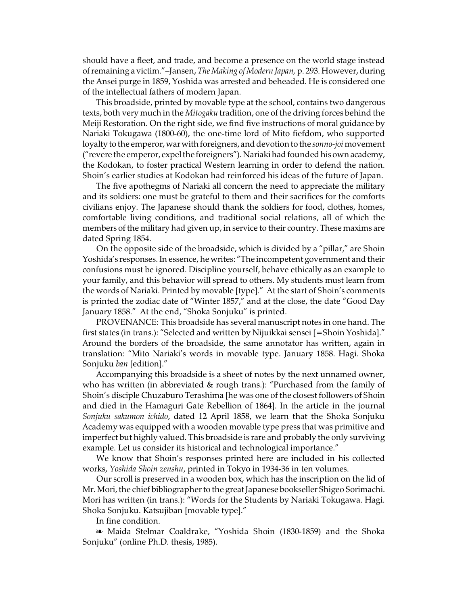should have a fleet, and trade, and become a presence on the world stage instead of remaining a victim."–Jansen, *The Making of Modern Japan,* p. 293. However, during the Ansei purge in 1859, Yoshida was arrested and beheaded. He is considered one of the intellectual fathers of modern Japan.

This broadside, printed by movable type at the school, contains two dangerous texts, both very much in the *Mitogaku* tradition, one of the driving forces behind the Meiji Restoration. On the right side, we find five instructions of moral guidance by Nariaki Tokugawa (1800-60), the one-time lord of Mito fiefdom, who supported loyalty to the emperor, war with foreigners, and devotion to the *sonno-joi* movement ("revere the emperor, expel the foreigners"). Nariaki had founded his own academy, the Kodokan, to foster practical Western learning in order to defend the nation. Shoin's earlier studies at Kodokan had reinforced his ideas of the future of Japan.

The five apothegms of Nariaki all concern the need to appreciate the military and its soldiers: one must be grateful to them and their sacrifices for the comforts civilians enjoy. The Japanese should thank the soldiers for food, clothes, homes, comfortable living conditions, and traditional social relations, all of which the members of the military had given up, in service to their country. These maxims are dated Spring 1854.

On the opposite side of the broadside, which is divided by a "pillar," are Shoin Yoshida's responses. In essence, he writes: "The incompetent government and their confusions must be ignored. Discipline yourself, behave ethically as an example to your family, and this behavior will spread to others. My students must learn from the words of Nariaki. Printed by movable [type]." At the start of Shoin's comments is printed the zodiac date of "Winter 1857," and at the close, the date "Good Day January 1858." At the end, "Shoka Sonjuku" is printed.

PROVENANCE: This broadside has several manuscript notes in one hand. The first states (in trans.): "Selected and written by Nijuikkai sensei [=Shoin Yoshida]." Around the borders of the broadside, the same annotator has written, again in translation: "Mito Nariaki's words in movable type. January 1858. Hagi. Shoka Sonjuku *ban* [edition]."

Accompanying this broadside is a sheet of notes by the next unnamed owner, who has written (in abbreviated & rough trans.): "Purchased from the family of Shoin's disciple Chuzaburo Terashima [he was one of the closest followers of Shoin and died in the Hamaguri Gate Rebellion of 1864]. In the article in the journal *Sonjuku sakumon ichido*, dated 12 April 1858, we learn that the Shoka Sonjuku Academy was equipped with a wooden movable type press that was primitive and imperfect but highly valued. This broadside is rare and probably the only surviving example. Let us consider its historical and technological importance."

We know that Shoin's responses printed here are included in his collected works, *Yoshida Shoin zenshu*, printed in Tokyo in 1934-36 in ten volumes.

Our scroll is preserved in a wooden box, which has the inscription on the lid of Mr. Mori, the chief bibliographer to the great Japanese bookseller Shigeo Sorimachi. Mori has written (in trans.): "Words for the Students by Nariaki Tokugawa. Hagi. Shoka Sonjuku. Katsujiban [movable type]."

In fine condition.

<sup>a</sup> Maida Stelmar Coaldrake, "Yoshida Shoin (1830-1859) and the Shoka Sonjuku" (online Ph.D. thesis, 1985).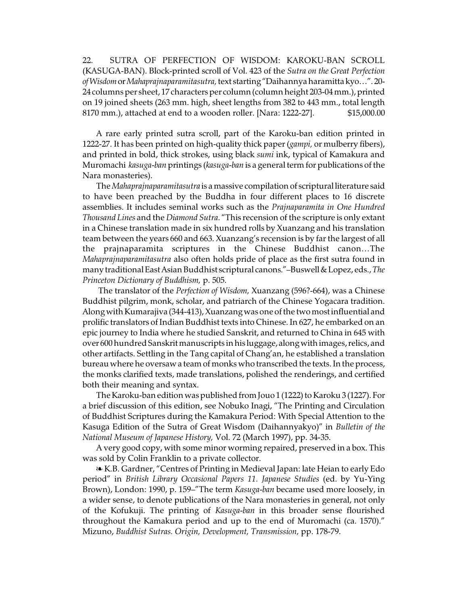22. SUTRA OF PERFECTION OF WISDOM: KAROKU-BAN SCROLL (KASUGA-BAN). Block-printed scroll of Vol. 423 of the *Sutra on the Great Perfection ofWisdom*or*Mahaprajnaparamitasutra,*text starting "Daihannya haramitta kyo…". 20- 24 columns per sheet, 17 characters per column (column height 203-04 mm.), printed on 19 joined sheets (263 mm. high, sheet lengths from 382 to 443 mm., total length 8170 mm.), attached at end to a wooden roller. [Nara: 1222-27]. \$15,000.00

A rare early printed sutra scroll, part of the Karoku-ban edition printed in 1222-27. It has been printed on high-quality thick paper (*gampi,* or mulberry fibers), and printed in bold, thick strokes, using black *sumi* ink, typical of Kamakura and Muromachi *kasuga-ban* printings (*kasuga-ban* is a general term for publications of the Nara monasteries).

The *Mahaprajnaparamitasutra* is a massive compilation of scriptural literature said to have been preached by the Buddha in four different places to 16 discrete assemblies. It includes seminal works such as the *Prajnaparamita in One Hundred Thousand Lines* and the *Diamond Sutra*. "This recension of the scripture is only extant in a Chinese translation made in six hundred rolls by Xuanzang and his translation team between the years 660 and 663. Xuanzang's recension is by far the largest of all the prajnaparamita scriptures in the Chinese Buddhist canon…The *Mahaprajnaparamitasutra* also often holds pride of place as the first sutra found in many traditional East AsianBuddhist scriptural canons."–Buswell&Lopez, eds.,*The Princeton Dictionary of Buddhism,* p. 505.

The translator of the *Perfection of Wisdom,* Xuanzang (596?-664), was a Chinese Buddhist pilgrim, monk, scholar, and patriarch of the Chinese Yogacara tradition. Along with Kumarajiva (344-413), Xuanzang was one of the two most influential and prolific translators of Indian Buddhist texts into Chinese. In 627, he embarked on an epic journey to India where he studied Sanskrit, and returned to China in 645 with over 600 hundred Sanskrit manuscripts in his luggage, along with images, relics, and other artifacts. Settling in the Tang capital of Chang'an, he established a translation bureau where he oversaw a team of monks who transcribed the texts. In the process, the monks clarified texts, made translations, polished the renderings, and certified both their meaning and syntax.

The Karoku-ban edition was published from Jouo 1 (1222) to Karoku 3 (1227). For a brief discussion of this edition, see Nobuko Inagi, "The Printing and Circulation of Buddhist Scriptures during the Kamakura Period: With Special Attention to the Kasuga Edition of the Sutra of Great Wisdom (Daihannyakyo)" in *Bulletin of the National Museum of Japanese History,* Vol. 72 (March 1997), pp. 34-35.

A very good copy, with some minor worming repaired, preserved in a box. This was sold by Colin Franklin to a private collector.

**EX.B. Gardner, "Centres of Printing in Medieval Japan: late Heian to early Edo** period" in *British Library Occasional Papers 11. Japanese Studies* (ed. by Yu-Ying Brown), London: 1990, p. 159–"The term *Kasuga-ban* became used more loosely, in a wider sense, to denote publications of the Nara monasteries in general, not only of the Kofukuji. The printing of *Kasuga-ban* in this broader sense flourished throughout the Kamakura period and up to the end of Muromachi (ca. 1570)." Mizuno, *Buddhist Sutras. Origin, Development, Transmission,* pp. 178-79.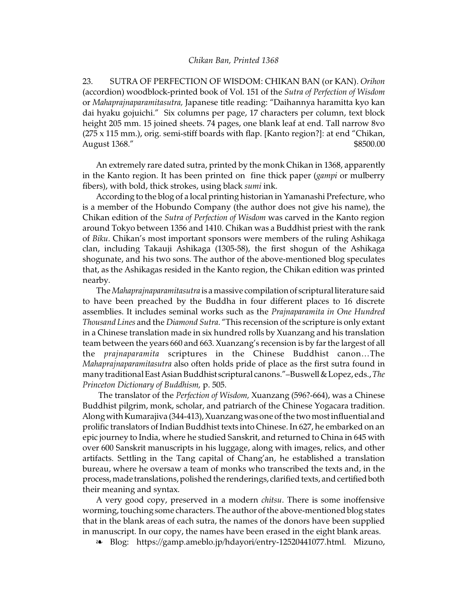23. SUTRA OF PERFECTION OF WISDOM: CHIKAN BAN (or KAN). *Orihon* (accordion) woodblock-printed book of Vol. 151 of the *Sutra of Perfection of Wisdom* or *Mahaprajnaparamitasutra,* Japanese title reading: "Daihannya haramitta kyo kan dai hyaku gojuichi." Six columns per page, 17 characters per column, text block height 205 mm. 15 joined sheets. 74 pages, one blank leaf at end. Tall narrow 8vo (275 x 115 mm.), orig. semi-stiff boards with flap. [Kanto region?]: at end "Chikan, August 1368." \$8500.00

An extremely rare dated sutra, printed by the monk Chikan in 1368, apparently in the Kanto region. It has been printed on fine thick paper (*gampi* or mulberry fibers), with bold, thick strokes, using black *sumi* ink.

According to the blog of a local printing historian in Yamanashi Prefecture, who is a member of the Hobundo Company (the author does not give his name), the Chikan edition of the *Sutra of Perfection of Wisdom* was carved in the Kanto region around Tokyo between 1356 and 1410. Chikan was a Buddhist priest with the rank of *Biku*. Chikan's most important sponsors were members of the ruling Ashikaga clan, including Takauji Ashikaga (1305-58), the first shogun of the Ashikaga shogunate, and his two sons. The author of the above-mentioned blog speculates that, as the Ashikagas resided in the Kanto region, the Chikan edition was printed nearby.

The *Mahaprajnaparamitasutra* is a massive compilationof scriptural literature said to have been preached by the Buddha in four different places to 16 discrete assemblies. It includes seminal works such as the *Prajnaparamita in One Hundred Thousand Lines* and the *Diamond Sutra*. "This recension of the scripture is only extant in a Chinese translation made in six hundred rolls by Xuanzang and his translation team between the years 660 and 663. Xuanzang's recension is by far the largest of all the *prajnaparamita* scriptures in the Chinese Buddhist canon…The *Mahaprajnaparamitasutra* also often holds pride of place as the first sutra found in many traditional East Asian Buddhist scriptural canons."-Buswell & Lopez, eds., The *Princeton Dictionary of Buddhism,* p. 505.

The translator of the *Perfection of Wisdom,* Xuanzang (596?-664), was a Chinese Buddhist pilgrim, monk, scholar, and patriarch of the Chinese Yogacara tradition. Along with Kumarajiva (344-413), Xuanzang was one of the two most influential and prolific translators of Indian Buddhist texts into Chinese. In 627, he embarked on an epic journey to India, where he studied Sanskrit, and returned to China in 645 with over 600 Sanskrit manuscripts in his luggage, along with images, relics, and other artifacts. Settling in the Tang capital of Chang'an, he established a translation bureau, where he oversaw a team of monks who transcribed the texts and, in the process, made translations, polished the renderings, clarified texts, and certified both their meaning and syntax.

A very good copy, preserved in a modern *chitsu*. There is some inoffensive worming, touching some characters.The author of the above-mentioned blog states that in the blank areas of each sutra, the names of the donors have been supplied in manuscript. In our copy, the names have been erased in the eight blank areas.

É Blog: https://gamp.ameblo.jp/hdayori/entry-12520441077.html. Mizuno,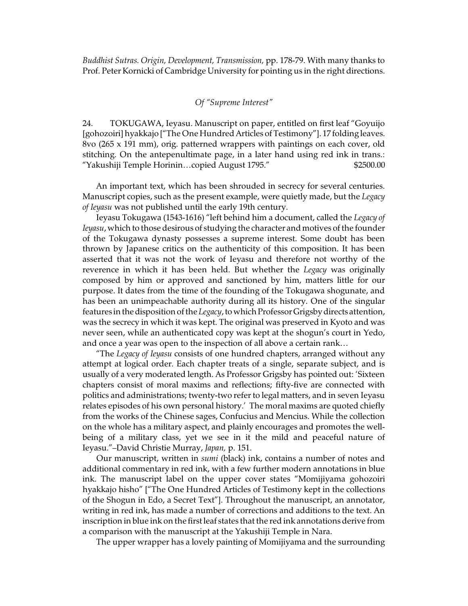*Buddhist Sutras. Origin, Development, Transmission,* pp. 178-79. With many thanks to Prof. Peter Kornicki of Cambridge University for pointing us in the right directions.

## *Of "Supreme Interest"*

24. TOKUGAWA, Ieyasu. Manuscript on paper, entitled on first leaf "Goyuijo [gohozoiri] hyakkajo ["The One Hundred Articles of Testimony"]. 17 folding leaves. 8vo (265 x 191 mm), orig. patterned wrappers with paintings on each cover, old stitching. On the antepenultimate page, in a later hand using red ink in trans.: "Yakushiji Temple Horinin…copied August 1795." \$2500.00

An important text, which has been shrouded in secrecy for several centuries. Manuscript copies, such as the present example, were quietly made, but the *Legacy of Ieyasu* was not published until the early 19th century.

Ieyasu Tokugawa (1543-1616) "left behind him a document, called the *Legacy of Ieyasu*, which to those desirous of studying the character and motives of the founder of the Tokugawa dynasty possesses a supreme interest. Some doubt has been thrown by Japanese critics on the authenticity of this composition. It has been asserted that it was not the work of Ieyasu and therefore not worthy of the reverence in which it has been held. But whether the *Legacy* was originally composed by him or approved and sanctioned by him, matters little for our purpose. It dates from the time of the founding of the Tokugawa shogunate, and has been an unimpeachable authority during all its history. One of the singular features in the disposition of the *Legacy*, to which Professor Grigsby directs attention, was the secrecy in which it was kept. The original was preserved in Kyoto and was never seen, while an authenticated copy was kept at the shogun's court in Yedo, and once a year was open to the inspection of all above a certain rank…

"The *Legacy of Ieyasu* consists of one hundred chapters, arranged without any attempt at logical order. Each chapter treats of a single, separate subject, and is usually of a very moderated length. As Professor Grigsby has pointed out: 'Sixteen chapters consist of moral maxims and reflections; fifty-five are connected with politics and administrations; twenty-two refer to legal matters, and in seven Ieyasu relates episodes of his own personal history.' The moral maxims are quoted chiefly from the works of the Chinese sages, Confucius and Mencius. While the collection on the whole has a military aspect, and plainly encourages and promotes the wellbeing of a military class, yet we see in it the mild and peaceful nature of Ieyasu."–David Christie Murray, *Japan,* p. 151.

Our manuscript, written in *sumi* (black) ink, contains a number of notes and additional commentary in red ink, with a few further modern annotations in blue ink. The manuscript label on the upper cover states "Momijiyama gohozoiri hyakkajo hisho" ["The One Hundred Articles of Testimony kept in the collections of the Shogun in Edo, a Secret Text"]. Throughout the manuscript, an annotator, writing in red ink, has made a number of corrections and additions to the text. An inscription in blue ink on the first leaf states that the red ink annotations derive from a comparison with the manuscript at the Yakushiji Temple in Nara.

The upper wrapper has a lovely painting of Momijiyama and the surrounding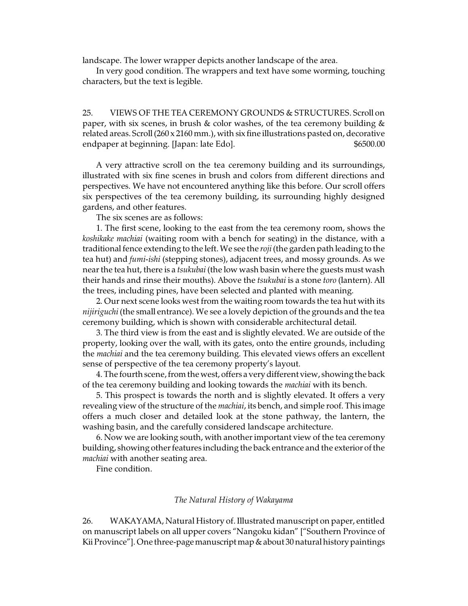landscape. The lower wrapper depicts another landscape of the area.

In very good condition. The wrappers and text have some worming, touching characters, but the text is legible.

25. VIEWS OF THE TEA CEREMONY GROUNDS & STRUCTURES. Scroll on paper, with six scenes, in brush & color washes, of the tea ceremony building  $\&$ related areas. Scroll (260 x 2160 mm.), with six fine illustrations pasted on, decorative endpaper at beginning. [Japan: late Edo].  $$6500.00$ 

A very attractive scroll on the tea ceremony building and its surroundings, illustrated with six fine scenes in brush and colors from different directions and perspectives. We have not encountered anything like this before. Our scroll offers six perspectives of the tea ceremony building, its surrounding highly designed gardens, and other features.

The six scenes are as follows:

1. The first scene, looking to the east from the tea ceremony room, shows the *koshikake machiai* (waiting room with a bench for seating) in the distance, with a traditional fence extending to the left. We see the *roji* (the garden path leading to the tea hut) and *fumi-ishi* (stepping stones), adjacent trees, and mossy grounds. As we near the tea hut, there is a *tsukubai* (the low wash basin where the guests must wash their hands and rinse their mouths). Above the *tsukubai* is a stone *toro* (lantern). All the trees, including pines, have been selected and planted with meaning.

2. Our next scene looks west from the waiting room towards the tea hut with its *nijiriguchi* (the small entrance). We see a lovely depiction of the grounds and the tea ceremony building, which is shown with considerable architectural detail.

3. The third view is from the east and is slightly elevated. We are outside of the property, looking over the wall, with its gates, onto the entire grounds, including the *machiai* and the tea ceremony building. This elevated views offers an excellent sense of perspective of the tea ceremony property's layout.

4. The fourth scene, from the west, offers a very different view, showing the back of the tea ceremony building and looking towards the *machiai* with its bench.

5. This prospect is towards the north and is slightly elevated. It offers a very revealing view of the structure of the *machiai*, its bench, and simple roof. This image offers a much closer and detailed look at the stone pathway, the lantern, the washing basin, and the carefully considered landscape architecture.

6. Now we are looking south, with another important view of the tea ceremony building, showing other features including the back entrance and the exterior of the *machiai* with another seating area.

Fine condition.

## *The Natural History of Wakayama*

26. WAKAYAMA, Natural History of. Illustrated manuscript on paper, entitled on manuscript labels on all upper covers "Nangoku kidan" ["Southern Province of Kii Province"]. One three-pagemanuscript map&about 30 natural history paintings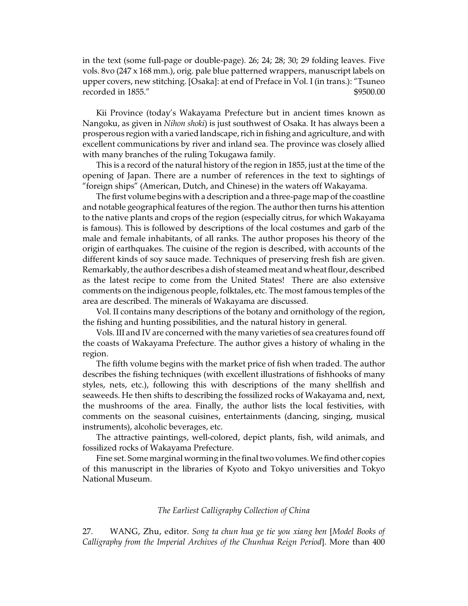in the text (some full-page or double-page). 26; 24; 28; 30; 29 folding leaves. Five vols. 8vo (247 x 168 mm.), orig. pale blue patterned wrappers, manuscript labels on upper covers, new stitching. [Osaka]: at end of Preface in Vol. I (in trans.): "Tsuneo recorded in 1855."  $$9500.00$ 

Kii Province (today's Wakayama Prefecture but in ancient times known as Nangoku, as given in *Nihon shoki*) is just southwest of Osaka. It has always been a prosperous region with a varied landscape, rich in fishing and agriculture, and with excellent communications by river and inland sea. The province was closely allied with many branches of the ruling Tokugawa family.

This is a record of the natural history of the region in 1855, just at the time of the opening of Japan. There are a number of references in the text to sightings of "foreign ships" (American, Dutch, and Chinese) in the waters off Wakayama.

The first volume begins with a description and a three-page map of the coastline and notable geographical features of the region. The author then turns his attention to the native plants and crops of the region (especially citrus, for which Wakayama is famous). This is followed by descriptions of the local costumes and garb of the male and female inhabitants, of all ranks. The author proposes his theory of the origin of earthquakes. The cuisine of the region is described, with accounts of the different kinds of soy sauce made. Techniques of preserving fresh fish are given. Remarkably, the author describes a dish of steamed meat and wheat flour, described as the latest recipe to come from the United States! There are also extensive comments on the indigenous people, folktales, etc. The most famous temples of the area are described. The minerals of Wakayama are discussed.

Vol. II contains many descriptions of the botany and ornithology of the region, the fishing and hunting possibilities, and the natural history in general.

Vols. III and IV are concerned with the many varieties of sea creatures found off the coasts of Wakayama Prefecture. The author gives a history of whaling in the region.

The fifth volume begins with the market price of fish when traded. The author describes the fishing techniques (with excellent illustrations of fishhooks of many styles, nets, etc.), following this with descriptions of the many shellfish and seaweeds. He then shifts to describing the fossilized rocks of Wakayama and, next, the mushrooms of the area. Finally, the author lists the local festivities, with comments on the seasonal cuisines, entertainments (dancing, singing, musical instruments), alcoholic beverages, etc.

The attractive paintings, well-colored, depict plants, fish, wild animals, and fossilized rocks of Wakayama Prefecture.

Fine set. Some marginal worming in the final two volumes.We find other copies of this manuscript in the libraries of Kyoto and Tokyo universities and Tokyo National Museum.

## *The Earliest Calligraphy Collection of China*

27. WANG, Zhu, editor. *Song ta chun hua ge tie you xiang ben* [*Model Books of Calligraphy from the Imperial Archives of the Chunhua Reign Period*]. More than 400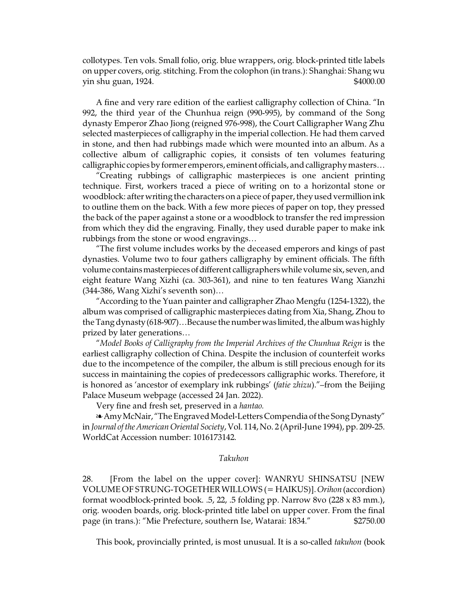collotypes. Ten vols. Small folio, orig. blue wrappers, orig. block-printed title labels on upper covers, orig. stitching. From the colophon (in trans.): Shanghai: Shang wu yin shu guan, 1924. \$4000.00

A fine and very rare edition of the earliest calligraphy collection of China. "In 992, the third year of the Chunhua reign (990-995), by command of the Song dynasty Emperor Zhao Jiong (reigned 976-998), the Court Calligrapher Wang Zhu selected masterpieces of calligraphy in the imperial collection. He had them carved in stone, and then had rubbings made which were mounted into an album. As a collective album of calligraphic copies, it consists of ten volumes featuring calligraphic copies by former emperors, eminent officials, and calligraphy masters…

"Creating rubbings of calligraphic masterpieces is one ancient printing technique. First, workers traced a piece of writing on to a horizontal stone or woodblock: after writing the characters on a piece of paper, they used vermillion ink to outline them on the back. With a few more pieces of paper on top, they pressed the back of the paper against a stone or a woodblock to transfer the red impression from which they did the engraving. Finally, they used durable paper to make ink rubbings from the stone or wood engravings…

"The first volume includes works by the deceased emperors and kings of past dynasties. Volume two to four gathers calligraphy by eminent officials. The fifth volume contains masterpieces of different calligraphers while volume six, seven, and eight feature Wang Xizhi (ca. 303-361), and nine to ten features Wang Xianzhi (344-386, Wang Xizhi's seventh son)…

"According to the Yuan painter and calligrapher Zhao Mengfu (1254-1322), the album was comprised of calligraphic masterpieces dating from Xia, Shang, Zhou to the Tang dynasty (618-907)...Because the number was limited, the album was highly prized by later generations…

"*Model Books of Calligraphy from the Imperial Archives of the Chunhua Reign* is the earliest calligraphy collection of China. Despite the inclusion of counterfeit works due to the incompetence of the compiler, the album is still precious enough for its success in maintaining the copies of predecessors calligraphic works. Therefore, it is honored as 'ancestor of exemplary ink rubbings' (*fatie zhizu*)."–from the Beijing Palace Museum webpage (accessed 24 Jan. 2022).

Very fine and fresh set, preserved in a *hantao.*

a Amy McNair, "The Engraved Model-Letters Compendia of the Song Dynasty" in *Journal of the American Oriental Society*, Vol. 114, No. 2 (April-June 1994), pp. 209-25. WorldCat Accession number: 1016173142.

### *Takuhon*

28. [From the label on the upper cover]: WANRYU SHINSATSU [NEW VOLUME OF STRUNG-TOGETHERWILLOWS (= HAIKUS)].*Orihon* (accordion) format woodblock-printed book. .5, 22, .5 folding pp. Narrow 8vo (228 x 83 mm.), orig. wooden boards, orig. block-printed title label on upper cover. From the final page (in trans.): "Mie Prefecture, southern Ise, Watarai: 1834." \$2750.00

This book, provincially printed, is most unusual. It is a so-called *takuhon* (book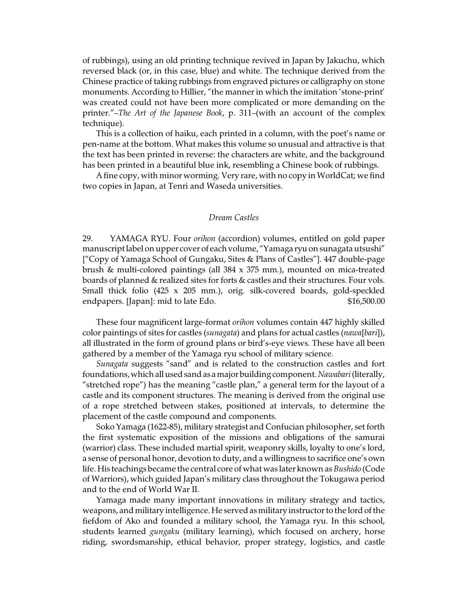of rubbings), using an old printing technique revived in Japan by Jakuchu, which reversed black (or, in this case, blue) and white. The technique derived from the Chinese practice of taking rubbings from engraved pictures or calligraphy on stone monuments. According to Hillier, "the manner in which the imitation 'stone-print' was created could not have been more complicated or more demanding on the printer."–*The Art of the Japanese Book*, p. 311–(with an account of the complex technique).

This is a collection of haiku, each printed in a column, with the poet's name or pen-name at the bottom. What makes this volume so unusual and attractive is that the text has been printed in reverse: the characters are white, and the background has been printed in a beautiful blue ink, resembling a Chinese book of rubbings.

A fine copy, with minor worming. Very rare, with no copy in WorldCat; we find two copies in Japan, at Tenri and Waseda universities.

#### *Dream Castles*

29. YAMAGA RYU. Four *orihon* (accordion) volumes, entitled on gold paper manuscript label on upper cover of eachvolume, "Yamaga ryuon sunagata utsushi" ["Copy of Yamaga School of Gungaku, Sites & Plans of Castles"]. 447 double-page brush & multi-colored paintings (all 384 x 375 mm.), mounted on mica-treated boards of planned & realized sites for forts & castles and their structures. Four vols. Small thick folio (425 x 205 mm.), orig. silk-covered boards, gold-speckled endpapers. [Japan]: mid to late Edo.  $$16,500.00$ 

These four magnificent large-format *orihon* volumes contain 447 highly skilled color paintings of sites for castles (*sunagata*) and plans for actual castles (*nawa*[*bari*]), all illustrated in the form of ground plans or bird's-eye views. These have all been gathered by a member of the Yamaga ryu school of military science.

*Sunagata* suggests "sand" and is related to the construction castles and fort foundations, which all used sand as a major building component. Nawabari (literally, "stretched rope") has the meaning "castle plan," a general term for the layout of a castle and its component structures. The meaning is derived from the original use of a rope stretched between stakes, positioned at intervals, to determine the placement of the castle compound and components.

Soko Yamaga (1622-85), military strategist and Confucian philosopher, set forth the first systematic exposition of the missions and obligations of the samurai (warrior) class. These included martial spirit, weaponry skills, loyalty to one's lord, a sense of personal honor, devotion to duty, and a willingness to sacrifice one's own life. His teachings became the central core of what was later known as *Bushido* (Code of Warriors), which guided Japan's military class throughout the Tokugawa period and to the end of World War II.

Yamaga made many important innovations in military strategy and tactics, weapons, and military intelligence. He servedas military instructor to the lord of the fiefdom of Ako and founded a military school, the Yamaga ryu. In this school, students learned *gungaku* (military learning), which focused on archery, horse riding, swordsmanship, ethical behavior, proper strategy, logistics, and castle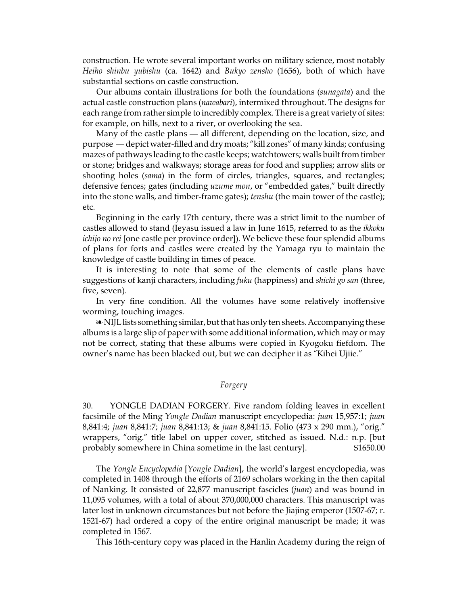construction. He wrote several important works on military science, most notably *Heiho shinbu yubishu* (ca. 1642) and *Bukyo zensho* (1656), both of which have substantial sections on castle construction.

Our albums contain illustrations for both the foundations (*sunagata*) and the actual castle construction plans (*nawabari*), intermixed throughout. The designs for each range from rather simple to incredibly complex. There is a great variety of sites: for example, on hills, next to a river, or overlooking the sea.

Many of the castle plans — all different, depending on the location, size, and purpose — depict water-filled and dry moats; "kill zones" of many kinds; confusing mazes of pathways leading to the castle keeps; watchtowers; walls built from timber or stone; bridges and walkways; storage areas for food and supplies; arrow slits or shooting holes (*sama*) in the form of circles, triangles, squares, and rectangles; defensive fences; gates (including *uzume mon*, or "embedded gates," built directly into the stone walls, and timber-frame gates); *tenshu* (the main tower of the castle); etc.

Beginning in the early 17th century, there was a strict limit to the number of castles allowed to stand (Ieyasu issued a law in June 1615, referred to as the *ikkoku ichijo no rei* [one castle per province order]). We believe these four splendid albums of plans for forts and castles were created by the Yamaga ryu to maintain the knowledge of castle building in times of peace.

It is interesting to note that some of the elements of castle plans have suggestions of kanji characters, including *fuku* (happiness) and *shichi go san* (three, five, seven).

In very fine condition. All the volumes have some relatively inoffensive worming, touching images.

É NIJL lists something similar, but that has only ten sheets.Accompanying these albums is a large slip of paper with some additional information, which may or may not be correct, stating that these albums were copied in Kyogoku fiefdom. The owner's name has been blacked out, but we can decipher it as "Kihei Ujiie."

## *Forgery*

30. YONGLE DADIAN FORGERY. Five random folding leaves in excellent facsimile of the Ming *Yongle Dadian* manuscript encyclopedia: *juan* 15,957:1; *juan* 8,841:4; *juan* 8,841:7; *juan* 8,841:13; & *juan* 8,841:15. Folio (473 x 290 mm.), "orig." wrappers, "orig." title label on upper cover, stitched as issued. N.d.: n.p. [but probably somewhere in China sometime in the last century]. \$1650.00

The *Yongle Encyclopedia* [*Yongle Dadian*], the world's largest encyclopedia, was completed in 1408 through the efforts of 2169 scholars working in the then capital of Nanking. It consisted of 22,877 manuscript fascicles (*juan*) and was bound in 11,095 volumes, with a total of about 370,000,000 characters. This manuscript was later lost in unknown circumstances but not before the Jiajing emperor (1507-67; r. 1521-67) had ordered a copy of the entire original manuscript be made; it was completed in 1567.

This 16th-century copy was placed in the Hanlin Academy during the reign of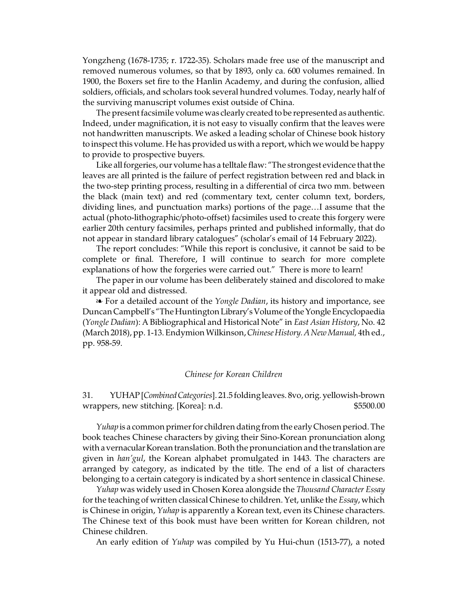Yongzheng (1678-1735; r. 1722-35). Scholars made free use of the manuscript and removed numerous volumes, so that by 1893, only ca. 600 volumes remained. In 1900, the Boxers set fire to the Hanlin Academy, and during the confusion, allied soldiers, officials, and scholars took several hundred volumes. Today, nearly half of the surviving manuscript volumes exist outside of China.

The present facsimile volume was clearly created to be represented as authentic. Indeed, under magnification, it is not easy to visually confirm that the leaves were not handwritten manuscripts. We asked a leading scholar of Chinese book history to inspect this volume. He has provided us with a report, which we would be happy to provide to prospective buyers.

Like all forgeries, our volume has a telltale flaw: "The strongest evidence that the leaves are all printed is the failure of perfect registration between red and black in the two-step printing process, resulting in a differential of circa two mm. between the black (main text) and red (commentary text, center column text, borders, dividing lines, and punctuation marks) portions of the page…I assume that the actual (photo-lithographic/photo-offset) facsimiles used to create this forgery were earlier 20th century facsimiles, perhaps printed and published informally, that do not appear in standard library catalogues" (scholar's email of 14 February 2022).

The report concludes: "While this report is conclusive, it cannot be said to be complete or final. Therefore, I will continue to search for more complete explanations of how the forgeries were carried out." There is more to learn!

The paper in our volume has been deliberately stained and discolored to make it appear old and distressed.

É For a detailed account of the *Yongle Dadian*, its history and importance, see Duncan Campbell's "The Huntington Library's Volume of the Yongle Encyclopaedia (*Yongle Dadian*): A Bibliographical and Historical Note" in *East Asian History*, No. 42 (March 2018), pp. 1-13. Endymion Wilkinson, *Chinese History. A New Manual*, 4th ed., pp. 958-59.

## *Chinese for Korean Children*

31. YUHAP [*CombinedCategories*]. 21.5 folding leaves. 8vo, orig. yellowish-brown wrappers, new stitching. [Korea]: n.d.  $$5500.00$ 

*Yuhap* is a common primer for children dating from the early Chosen period. The book teaches Chinese characters by giving their Sino-Korean pronunciation along with a vernacular Korean translation. Both the pronunciation and the translation are given in *han'gul*, the Korean alphabet promulgated in 1443. The characters are arranged by category, as indicated by the title. The end of a list of characters belonging to a certain category is indicated by a short sentence in classical Chinese.

*Yuhap* was widely used in Chosen Korea alongside the *Thousand Character Essay* for the teaching of written classical Chinese to children. Yet, unlike the *Essay*, which is Chinese in origin, *Yuhap* is apparently a Korean text, even its Chinese characters. The Chinese text of this book must have been written for Korean children, not Chinese children.

An early edition of *Yuhap* was compiled by Yu Hui-chun (1513-77), a noted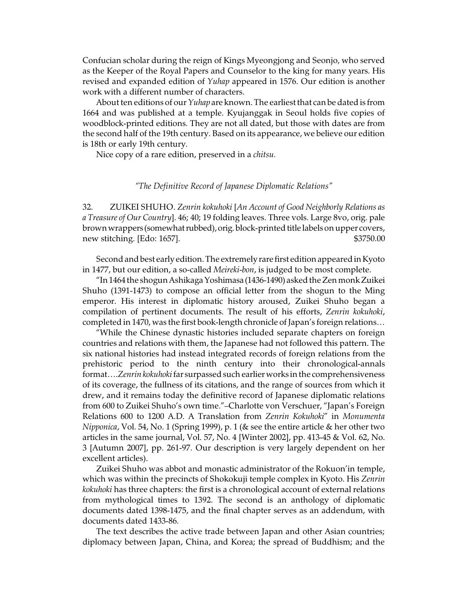Confucian scholar during the reign of Kings Myeongjong and Seonjo, who served as the Keeper of the Royal Papers and Counselor to the king for many years. His revised and expanded edition of *Yuhap* appeared in 1576. Our edition is another work with a different number of characters.

About ten editions of our *Yuhap* are known. The earliest that can be dated is from 1664 and was published at a temple. Kyujanggak in Seoul holds five copies of woodblock-printed editions. They are not all dated, but those with dates are from the second half of the 19th century. Based on its appearance, we believe our edition is 18th or early 19th century.

Nice copy of a rare edition, preserved in a *chitsu.*

## *"The Definitive Record of Japanese Diplomatic Relations"*

32. ZUIKEI SHUHO. *Zenrin kokuhoki* [*An Account of Good Neighborly Relations as a Treasure of Our Country*]. 46; 40; 19 folding leaves. Three vols. Large 8vo, orig. pale brown wrappers (somewhat rubbed), orig. block-printed title labels on upper covers, new stitching. [Edo: 1657]. \$3750.00

Second and best early edition. The extremely rare first edition appeared in Kyoto in 1477, but our edition, a so-called *Meireki-bon*, is judged to be most complete.

"In1464 the shogunAshikaga Yoshimasa (1436-1490) askedthe Zen monk Zuikei Shuho (1391-1473) to compose an official letter from the shogun to the Ming emperor. His interest in diplomatic history aroused, Zuikei Shuho began a compilation of pertinent documents. The result of his efforts, *Zenrin kokuhoki*, completed in 1470, was the first book-length chronicle of Japan's foreign relations…

"While the Chinese dynastic histories included separate chapters on foreign countries and relations with them, the Japanese had not followed this pattern. The six national histories had instead integrated records of foreign relations from the prehistoric period to the ninth century into their chronological-annals format....Zenrin kokuhoki far surpassed such earlier works in the comprehensiveness of its coverage, the fullness of its citations, and the range of sources from which it drew, and it remains today the definitive record of Japanese diplomatic relations from 600 to Zuikei Shuho's own time."–Charlotte von Verschuer, "Japan's Foreign Relations 600 to 1200 A.D. A Translation from *Zenrin Kokuhoki*" in *Monumenta Nipponica*, Vol. 54, No. 1 (Spring 1999), p. 1 (& see the entire article & her other two articles in the same journal, Vol. 57, No. 4 [Winter 2002], pp. 413-45 & Vol. 62, No. 3 [Autumn 2007], pp. 261-97. Our description is very largely dependent on her excellent articles).

Zuikei Shuho was abbot and monastic administrator of the Rokuon'in temple, which was within the precincts of Shokokuji temple complex in Kyoto. His *Zenrin kokuhoki* has three chapters: the first is a chronological account of external relations from mythological times to 1392. The second is an anthology of diplomatic documents dated 1398-1475, and the final chapter serves as an addendum, with documents dated 1433-86.

The text describes the active trade between Japan and other Asian countries; diplomacy between Japan, China, and Korea; the spread of Buddhism; and the